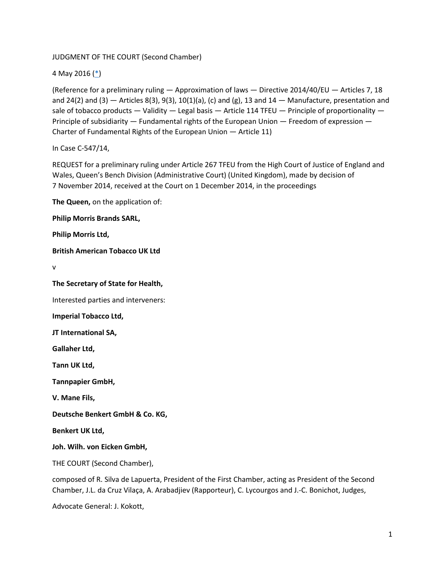#### JUDGMENT OF THE COURT (Second Chamber)

#### 4 May 2016 [\(\\*\)](http://eur-lex.europa.eu/legal-content/EN/TXT/?uri=CELEX:62014CJ0547#Footnote*)

(Reference for a preliminary ruling — Approximation of laws — Directive 2014/40/EU — Articles 7, 18 and 24(2) and (3)  $-$  Articles 8(3), 9(3), 10(1)(a), (c) and (g), 13 and 14  $-$  Manufacture, presentation and sale of tobacco products  $-$  Validity  $-$  Legal basis  $-$  Article 114 TFEU  $-$  Principle of proportionality  $-$ Principle of subsidiarity — Fundamental rights of the European Union — Freedom of expression — Charter of Fundamental Rights of the European Union — Article 11)

#### In Case C-547/14,

REQUEST for a preliminary ruling under Article 267 TFEU from the High Court of Justice of England and Wales, Queen's Bench Division (Administrative Court) (United Kingdom), made by decision of 7 November 2014, received at the Court on 1 December 2014, in the proceedings

**The Queen,** on the application of:

**Philip Morris Brands SARL,**

**Philip Morris Ltd,**

**British American Tobacco UK Ltd**

v

**The Secretary of State for Health,**

Interested parties and interveners:

**Imperial Tobacco Ltd,**

**JT International SA,**

**Gallaher Ltd,**

**Tann UK Ltd,**

**Tannpapier GmbH,**

**V. Mane Fils,**

**Deutsche Benkert GmbH & Co. KG,**

**Benkert UK Ltd,**

**Joh. Wilh. von Eicken GmbH,**

THE COURT (Second Chamber),

composed of R. Silva de Lapuerta, President of the First Chamber, acting as President of the Second Chamber, J.L. da Cruz Vilaça, A. Arabadjiev (Rapporteur), C. Lycourgos and J.-C. Bonichot, Judges,

Advocate General: J. Kokott,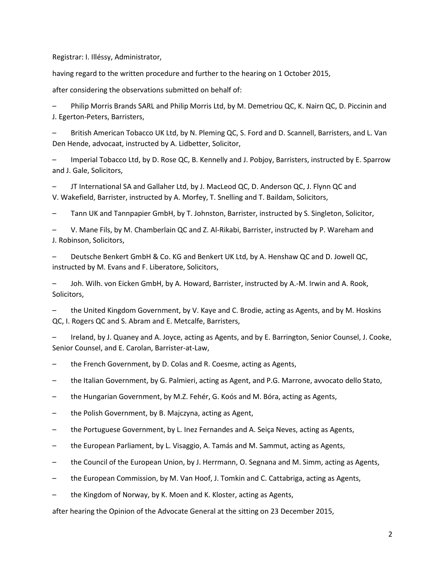Registrar: I. Illéssy, Administrator,

having regard to the written procedure and further to the hearing on 1 October 2015,

after considering the observations submitted on behalf of:

– Philip Morris Brands SARL and Philip Morris Ltd, by M. Demetriou QC, K. Nairn QC, D. Piccinin and J. Egerton-Peters, Barristers,

– British American Tobacco UK Ltd, by N. Pleming QC, S. Ford and D. Scannell, Barristers, and L. Van Den Hende, advocaat, instructed by A. Lidbetter, Solicitor,

– Imperial Tobacco Ltd, by D. Rose QC, B. Kennelly and J. Pobjoy, Barristers, instructed by E. Sparrow and J. Gale, Solicitors,

JT International SA and Gallaher Ltd, by J. MacLeod QC, D. Anderson QC, J. Flynn QC and V. Wakefield, Barrister, instructed by A. Morfey, T. Snelling and T. Baildam, Solicitors,

– Tann UK and Tannpapier GmbH, by T. Johnston, Barrister, instructed by S. Singleton, Solicitor,

– V. Mane Fils, by M. Chamberlain QC and Z. Al-Rikabi, Barrister, instructed by P. Wareham and J. Robinson, Solicitors,

– Deutsche Benkert GmbH & Co. KG and Benkert UK Ltd, by A. Henshaw QC and D. Jowell QC, instructed by M. Evans and F. Liberatore, Solicitors,

– Joh. Wilh. von Eicken GmbH, by A. Howard, Barrister, instructed by A.-M. Irwin and A. Rook, Solicitors,

– the United Kingdom Government, by V. Kaye and C. Brodie, acting as Agents, and by M. Hoskins QC, I. Rogers QC and S. Abram and E. Metcalfe, Barristers,

– Ireland, by J. Quaney and A. Joyce, acting as Agents, and by E. Barrington, Senior Counsel, J. Cooke, Senior Counsel, and E. Carolan, Barrister-at-Law,

– the French Government, by D. Colas and R. Coesme, acting as Agents,

– the Italian Government, by G. Palmieri, acting as Agent, and P.G. Marrone, avvocato dello Stato,

- the Hungarian Government, by M.Z. Fehér, G. Koós and M. Bóra, acting as Agents,
- the Polish Government, by B. Majczyna, acting as Agent,
- the Portuguese Government, by L. Inez Fernandes and A. Seiça Neves, acting as Agents,
- the European Parliament, by L. Visaggio, A. Tamás and M. Sammut, acting as Agents,
- the Council of the European Union, by J. Herrmann, O. Segnana and M. Simm, acting as Agents,
- the European Commission, by M. Van Hoof, J. Tomkin and C. Cattabriga, acting as Agents,
- the Kingdom of Norway, by K. Moen and K. Kloster, acting as Agents,

after hearing the Opinion of the Advocate General at the sitting on 23 December 2015,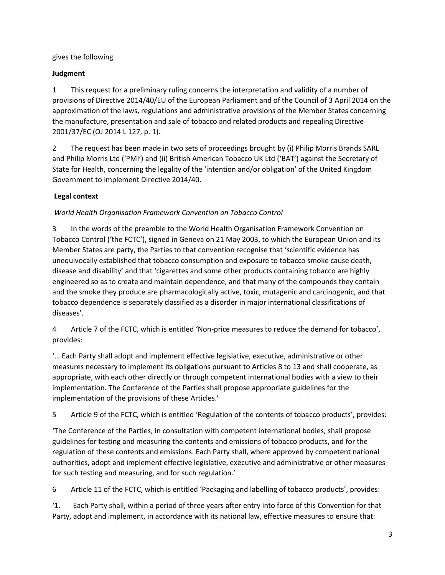gives the following

# **Judgment**

1 This request for a preliminary ruling concerns the interpretation and validity of a number of provisions of Directive 2014/40/EU of the European Parliament and of the Council of 3 April 2014 on the approximation of the laws, regulations and administrative provisions of the Member States concerning the manufacture, presentation and sale of tobacco and related products and repealing Directive 2001/37/EC (OJ 2014 L 127, p. 1).

2 The request has been made in two sets of proceedings brought by (i) Philip Morris Brands SARL and Philip Morris Ltd ('PMI') and (ii) British American Tobacco UK Ltd ('BAT') against the Secretary of State for Health, concerning the legality of the 'intention and/or obligation' of the United Kingdom Government to implement Directive 2014/40.

# **Legal context**

*World Health Organisation Framework Convention on Tobacco Control*

3 In the words of the preamble to the World Health Organisation Framework Convention on Tobacco Control ('the FCTC'), signed in Geneva on 21 May 2003, to which the European Union and its Member States are party, the Parties to that convention recognise that 'scientific evidence has unequivocally established that tobacco consumption and exposure to tobacco smoke cause death, disease and disability' and that 'cigarettes and some other products containing tobacco are highly engineered so as to create and maintain dependence, and that many of the compounds they contain and the smoke they produce are pharmacologically active, toxic, mutagenic and carcinogenic, and that tobacco dependence is separately classified as a disorder in major international classifications of diseases'.

4 Article 7 of the FCTC, which is entitled 'Non-price measures to reduce the demand for tobacco', provides:

'… Each Party shall adopt and implement effective legislative, executive, administrative or other measures necessary to implement its obligations pursuant to Articles 8 to 13 and shall cooperate, as appropriate, with each other directly or through competent international bodies with a view to their implementation. The Conference of the Parties shall propose appropriate guidelines for the implementation of the provisions of these Articles.'

5 Article 9 of the FCTC, which is entitled 'Regulation of the contents of tobacco products', provides:

'The Conference of the Parties, in consultation with competent international bodies, shall propose guidelines for testing and measuring the contents and emissions of tobacco products, and for the regulation of these contents and emissions. Each Party shall, where approved by competent national authorities, adopt and implement effective legislative, executive and administrative or other measures for such testing and measuring, and for such regulation.'

6 Article 11 of the FCTC, which is entitled 'Packaging and labelling of tobacco products', provides:

'1. Each Party shall, within a period of three years after entry into force of this Convention for that Party, adopt and implement, in accordance with its national law, effective measures to ensure that: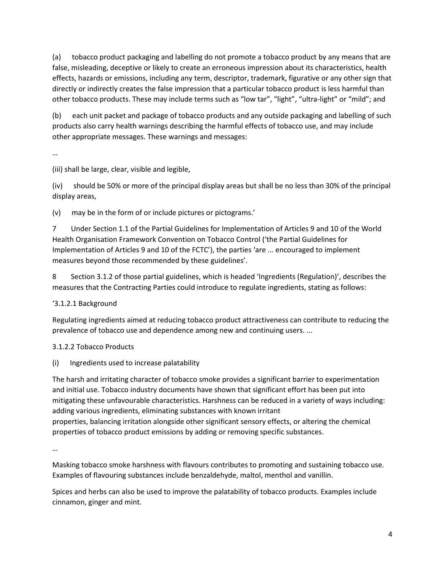(a) tobacco product packaging and labelling do not promote a tobacco product by any means that are false, misleading, deceptive or likely to create an erroneous impression about its characteristics, health effects, hazards or emissions, including any term, descriptor, trademark, figurative or any other sign that directly or indirectly creates the false impression that a particular tobacco product is less harmful than other tobacco products. These may include terms such as "low tar", "light", "ultra-light" or "mild"; and

(b) each unit packet and package of tobacco products and any outside packaging and labelling of such products also carry health warnings describing the harmful effects of tobacco use, and may include other appropriate messages. These warnings and messages:

…

(iii) shall be large, clear, visible and legible,

(iv) should be 50% or more of the principal display areas but shall be no less than 30% of the principal display areas,

(v) may be in the form of or include pictures or pictograms.'

7 Under Section 1.1 of the Partial Guidelines for Implementation of Articles 9 and 10 of the World Health Organisation Framework Convention on Tobacco Control ('the Partial Guidelines for Implementation of Articles 9 and 10 of the FCTC'), the parties 'are ... encouraged to implement measures beyond those recommended by these guidelines'.

8 Section 3.1.2 of those partial guidelines, which is headed 'Ingredients (Regulation)', describes the measures that the Contracting Parties could introduce to regulate ingredients, stating as follows:

'3.1.2.1 Background

Regulating ingredients aimed at reducing tobacco product attractiveness can contribute to reducing the prevalence of tobacco use and dependence among new and continuing users. ...

#### 3.1.2.2 Tobacco Products

(i) Ingredients used to increase palatability

The harsh and irritating character of tobacco smoke provides a significant barrier to experimentation and initial use. Tobacco industry documents have shown that significant effort has been put into mitigating these unfavourable characteristics. Harshness can be reduced in a variety of ways including: adding various ingredients, eliminating substances with known irritant properties, balancing irritation alongside other significant sensory effects, or altering the chemical properties of tobacco product emissions by adding or removing specific substances.

…

Masking tobacco smoke harshness with flavours contributes to promoting and sustaining tobacco use. Examples of flavouring substances include benzaldehyde, maltol, menthol and vanillin.

Spices and herbs can also be used to improve the palatability of tobacco products. Examples include cinnamon, ginger and mint.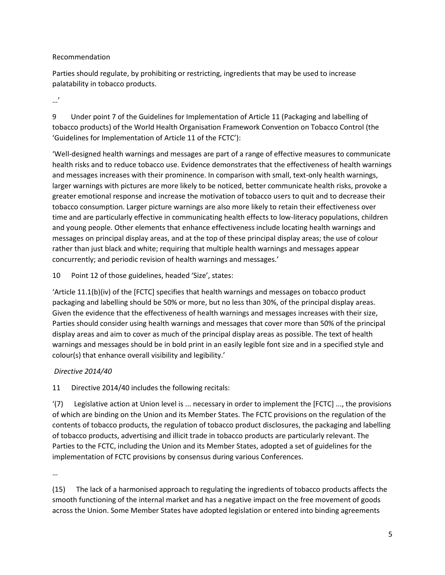#### Recommendation

Parties should regulate, by prohibiting or restricting, ingredients that may be used to increase palatability in tobacco products.

…'

9 Under point 7 of the Guidelines for Implementation of Article 11 (Packaging and labelling of tobacco products) of the World Health Organisation Framework Convention on Tobacco Control (the 'Guidelines for Implementation of Article 11 of the FCTC'):

'Well-designed health warnings and messages are part of a range of effective measures to communicate health risks and to reduce tobacco use. Evidence demonstrates that the effectiveness of health warnings and messages increases with their prominence. In comparison with small, text-only health warnings, larger warnings with pictures are more likely to be noticed, better communicate health risks, provoke a greater emotional response and increase the motivation of tobacco users to quit and to decrease their tobacco consumption. Larger picture warnings are also more likely to retain their effectiveness over time and are particularly effective in communicating health effects to low-literacy populations, children and young people. Other elements that enhance effectiveness include locating health warnings and messages on principal display areas, and at the top of these principal display areas; the use of colour rather than just black and white; requiring that multiple health warnings and messages appear concurrently; and periodic revision of health warnings and messages.'

10 Point 12 of those guidelines, headed 'Size', states:

'Article 11.1(b)(iv) of the [FCTC] specifies that health warnings and messages on tobacco product packaging and labelling should be 50% or more, but no less than 30%, of the principal display areas. Given the evidence that the effectiveness of health warnings and messages increases with their size, Parties should consider using health warnings and messages that cover more than 50% of the principal display areas and aim to cover as much of the principal display areas as possible. The text of health warnings and messages should be in bold print in an easily legible font size and in a specified style and colour(s) that enhance overall visibility and legibility.'

#### *Directive 2014/40*

11 Directive 2014/40 includes the following recitals:

'(7) Legislative action at Union level is ... necessary in order to implement the [FCTC] ..., the provisions of which are binding on the Union and its Member States. The FCTC provisions on the regulation of the contents of tobacco products, the regulation of tobacco product disclosures, the packaging and labelling of tobacco products, advertising and illicit trade in tobacco products are particularly relevant. The Parties to the FCTC, including the Union and its Member States, adopted a set of guidelines for the implementation of FCTC provisions by consensus during various Conferences.

 $\ddotsc$ 

(15) The lack of a harmonised approach to regulating the ingredients of tobacco products affects the smooth functioning of the internal market and has a negative impact on the free movement of goods across the Union. Some Member States have adopted legislation or entered into binding agreements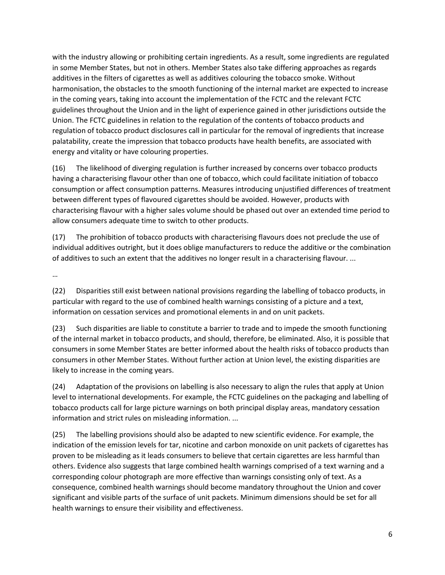with the industry allowing or prohibiting certain ingredients. As a result, some ingredients are regulated in some Member States, but not in others. Member States also take differing approaches as regards additives in the filters of cigarettes as well as additives colouring the tobacco smoke. Without harmonisation, the obstacles to the smooth functioning of the internal market are expected to increase in the coming years, taking into account the implementation of the FCTC and the relevant FCTC guidelines throughout the Union and in the light of experience gained in other jurisdictions outside the Union. The FCTC guidelines in relation to the regulation of the contents of tobacco products and regulation of tobacco product disclosures call in particular for the removal of ingredients that increase palatability, create the impression that tobacco products have health benefits, are associated with energy and vitality or have colouring properties.

(16) The likelihood of diverging regulation is further increased by concerns over tobacco products having a characterising flavour other than one of tobacco, which could facilitate initiation of tobacco consumption or affect consumption patterns. Measures introducing unjustified differences of treatment between different types of flavoured cigarettes should be avoided. However, products with characterising flavour with a higher sales volume should be phased out over an extended time period to allow consumers adequate time to switch to other products.

(17) The prohibition of tobacco products with characterising flavours does not preclude the use of individual additives outright, but it does oblige manufacturers to reduce the additive or the combination of additives to such an extent that the additives no longer result in a characterising flavour. ...

…

(22) Disparities still exist between national provisions regarding the labelling of tobacco products, in particular with regard to the use of combined health warnings consisting of a picture and a text, information on cessation services and promotional elements in and on unit packets.

(23) Such disparities are liable to constitute a barrier to trade and to impede the smooth functioning of the internal market in tobacco products, and should, therefore, be eliminated. Also, it is possible that consumers in some Member States are better informed about the health risks of tobacco products than consumers in other Member States. Without further action at Union level, the existing disparities are likely to increase in the coming years.

(24) Adaptation of the provisions on labelling is also necessary to align the rules that apply at Union level to international developments. For example, the FCTC guidelines on the packaging and labelling of tobacco products call for large picture warnings on both principal display areas, mandatory cessation information and strict rules on misleading information. ...

(25) The labelling provisions should also be adapted to new scientific evidence. For example, the indication of the emission levels for tar, nicotine and carbon monoxide on unit packets of cigarettes has proven to be misleading as it leads consumers to believe that certain cigarettes are less harmful than others. Evidence also suggests that large combined health warnings comprised of a text warning and a corresponding colour photograph are more effective than warnings consisting only of text. As a consequence, combined health warnings should become mandatory throughout the Union and cover significant and visible parts of the surface of unit packets. Minimum dimensions should be set for all health warnings to ensure their visibility and effectiveness.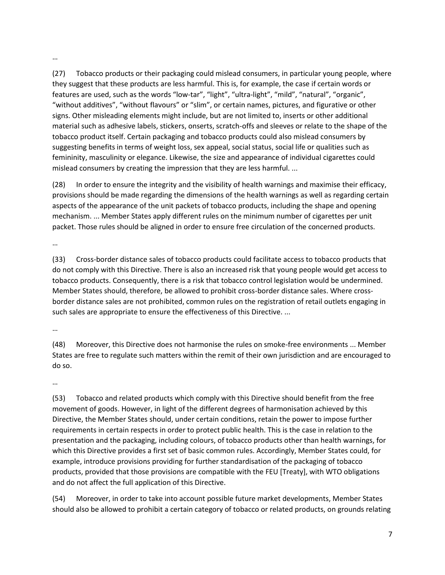(27) Tobacco products or their packaging could mislead consumers, in particular young people, where they suggest that these products are less harmful. This is, for example, the case if certain words or features are used, such as the words "low-tar", "light", "ultra-light", "mild", "natural", "organic", "without additives", "without flavours" or "slim", or certain names, pictures, and figurative or other signs. Other misleading elements might include, but are not limited to, inserts or other additional material such as adhesive labels, stickers, onserts, scratch-offs and sleeves or relate to the shape of the tobacco product itself. Certain packaging and tobacco products could also mislead consumers by suggesting benefits in terms of weight loss, sex appeal, social status, social life or qualities such as femininity, masculinity or elegance. Likewise, the size and appearance of individual cigarettes could mislead consumers by creating the impression that they are less harmful. ...

(28) In order to ensure the integrity and the visibility of health warnings and maximise their efficacy, provisions should be made regarding the dimensions of the health warnings as well as regarding certain aspects of the appearance of the unit packets of tobacco products, including the shape and opening mechanism. ... Member States apply different rules on the minimum number of cigarettes per unit packet. Those rules should be aligned in order to ensure free circulation of the concerned products.

…

…

(33) Cross-border distance sales of tobacco products could facilitate access to tobacco products that do not comply with this Directive. There is also an increased risk that young people would get access to tobacco products. Consequently, there is a risk that tobacco control legislation would be undermined. Member States should, therefore, be allowed to prohibit cross-border distance sales. Where crossborder distance sales are not prohibited, common rules on the registration of retail outlets engaging in such sales are appropriate to ensure the effectiveness of this Directive. ...

…

(48) Moreover, this Directive does not harmonise the rules on smoke-free environments ... Member States are free to regulate such matters within the remit of their own jurisdiction and are encouraged to do so.

…

(53) Tobacco and related products which comply with this Directive should benefit from the free movement of goods. However, in light of the different degrees of harmonisation achieved by this Directive, the Member States should, under certain conditions, retain the power to impose further requirements in certain respects in order to protect public health. This is the case in relation to the presentation and the packaging, including colours, of tobacco products other than health warnings, for which this Directive provides a first set of basic common rules. Accordingly, Member States could, for example, introduce provisions providing for further standardisation of the packaging of tobacco products, provided that those provisions are compatible with the FEU [Treaty], with WTO obligations and do not affect the full application of this Directive.

(54) Moreover, in order to take into account possible future market developments, Member States should also be allowed to prohibit a certain category of tobacco or related products, on grounds relating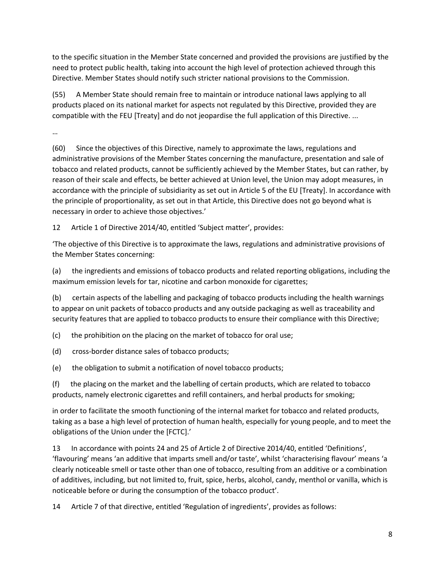to the specific situation in the Member State concerned and provided the provisions are justified by the need to protect public health, taking into account the high level of protection achieved through this Directive. Member States should notify such stricter national provisions to the Commission.

(55) A Member State should remain free to maintain or introduce national laws applying to all products placed on its national market for aspects not regulated by this Directive, provided they are compatible with the FEU [Treaty] and do not jeopardise the full application of this Directive. ...

…

(60) Since the objectives of this Directive, namely to approximate the laws, regulations and administrative provisions of the Member States concerning the manufacture, presentation and sale of tobacco and related products, cannot be sufficiently achieved by the Member States, but can rather, by reason of their scale and effects, be better achieved at Union level, the Union may adopt measures, in accordance with the principle of subsidiarity as set out in Article 5 of the EU [Treaty]. In accordance with the principle of proportionality, as set out in that Article, this Directive does not go beyond what is necessary in order to achieve those objectives.'

12 Article 1 of Directive 2014/40, entitled 'Subject matter', provides:

'The objective of this Directive is to approximate the laws, regulations and administrative provisions of the Member States concerning:

(a) the ingredients and emissions of tobacco products and related reporting obligations, including the maximum emission levels for tar, nicotine and carbon monoxide for cigarettes;

(b) certain aspects of the labelling and packaging of tobacco products including the health warnings to appear on unit packets of tobacco products and any outside packaging as well as traceability and security features that are applied to tobacco products to ensure their compliance with this Directive;

(c) the prohibition on the placing on the market of tobacco for oral use;

(d) cross-border distance sales of tobacco products;

(e) the obligation to submit a notification of novel tobacco products;

(f) the placing on the market and the labelling of certain products, which are related to tobacco products, namely electronic cigarettes and refill containers, and herbal products for smoking;

in order to facilitate the smooth functioning of the internal market for tobacco and related products, taking as a base a high level of protection of human health, especially for young people, and to meet the obligations of the Union under the [FCTC].'

13 In accordance with points 24 and 25 of Article 2 of Directive 2014/40, entitled 'Definitions', 'flavouring' means 'an additive that imparts smell and/or taste', whilst 'characterising flavour' means 'a clearly noticeable smell or taste other than one of tobacco, resulting from an additive or a combination of additives, including, but not limited to, fruit, spice, herbs, alcohol, candy, menthol or vanilla, which is noticeable before or during the consumption of the tobacco product'.

14 Article 7 of that directive, entitled 'Regulation of ingredients', provides as follows: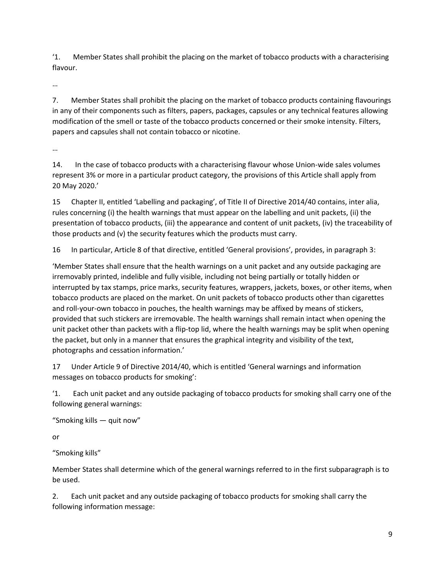'1. Member States shall prohibit the placing on the market of tobacco products with a characterising flavour.

…

7. Member States shall prohibit the placing on the market of tobacco products containing flavourings in any of their components such as filters, papers, packages, capsules or any technical features allowing modification of the smell or taste of the tobacco products concerned or their smoke intensity. Filters, papers and capsules shall not contain tobacco or nicotine.

…

14. In the case of tobacco products with a characterising flavour whose Union-wide sales volumes represent 3% or more in a particular product category, the provisions of this Article shall apply from 20 May 2020.'

15 Chapter II, entitled 'Labelling and packaging', of Title II of Directive 2014/40 contains, inter alia, rules concerning (i) the health warnings that must appear on the labelling and unit packets, (ii) the presentation of tobacco products, (iii) the appearance and content of unit packets, (iv) the traceability of those products and (v) the security features which the products must carry.

16 In particular, Article 8 of that directive, entitled 'General provisions', provides, in paragraph 3:

'Member States shall ensure that the health warnings on a unit packet and any outside packaging are irremovably printed, indelible and fully visible, including not being partially or totally hidden or interrupted by tax stamps, price marks, security features, wrappers, jackets, boxes, or other items, when tobacco products are placed on the market. On unit packets of tobacco products other than cigarettes and roll-your-own tobacco in pouches, the health warnings may be affixed by means of stickers, provided that such stickers are irremovable. The health warnings shall remain intact when opening the unit packet other than packets with a flip-top lid, where the health warnings may be split when opening the packet, but only in a manner that ensures the graphical integrity and visibility of the text, photographs and cessation information.'

17 Under Article 9 of Directive 2014/40, which is entitled 'General warnings and information messages on tobacco products for smoking':

'1. Each unit packet and any outside packaging of tobacco products for smoking shall carry one of the following general warnings:

"Smoking kills — quit now"

or

"Smoking kills"

Member States shall determine which of the general warnings referred to in the first subparagraph is to be used.

2. Each unit packet and any outside packaging of tobacco products for smoking shall carry the following information message: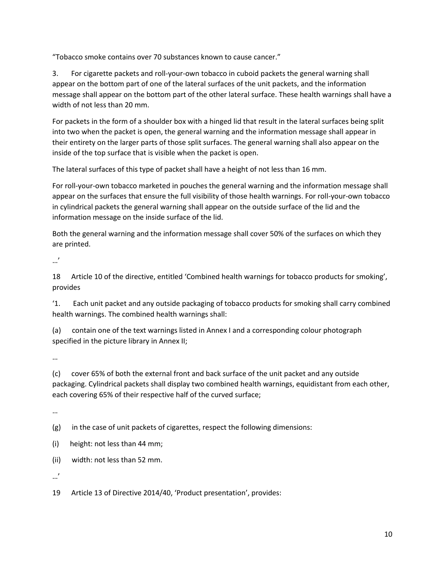"Tobacco smoke contains over 70 substances known to cause cancer."

3. For cigarette packets and roll-your-own tobacco in cuboid packets the general warning shall appear on the bottom part of one of the lateral surfaces of the unit packets, and the information message shall appear on the bottom part of the other lateral surface. These health warnings shall have a width of not less than 20 mm.

For packets in the form of a shoulder box with a hinged lid that result in the lateral surfaces being split into two when the packet is open, the general warning and the information message shall appear in their entirety on the larger parts of those split surfaces. The general warning shall also appear on the inside of the top surface that is visible when the packet is open.

The lateral surfaces of this type of packet shall have a height of not less than 16 mm.

For roll-your-own tobacco marketed in pouches the general warning and the information message shall appear on the surfaces that ensure the full visibility of those health warnings. For roll-your-own tobacco in cylindrical packets the general warning shall appear on the outside surface of the lid and the information message on the inside surface of the lid.

Both the general warning and the information message shall cover 50% of the surfaces on which they are printed.

…'

18 Article 10 of the directive, entitled 'Combined health warnings for tobacco products for smoking', provides

'1. Each unit packet and any outside packaging of tobacco products for smoking shall carry combined health warnings. The combined health warnings shall:

(a) contain one of the text warnings listed in Annex I and a corresponding colour photograph specified in the picture library in Annex II;

…

(c) cover 65% of both the external front and back surface of the unit packet and any outside packaging. Cylindrical packets shall display two combined health warnings, equidistant from each other, each covering 65% of their respective half of the curved surface;

…

(g) in the case of unit packets of cigarettes, respect the following dimensions:

- (i) height: not less than 44 mm;
- (ii) width: not less than 52 mm.

…'

19 Article 13 of Directive 2014/40, 'Product presentation', provides: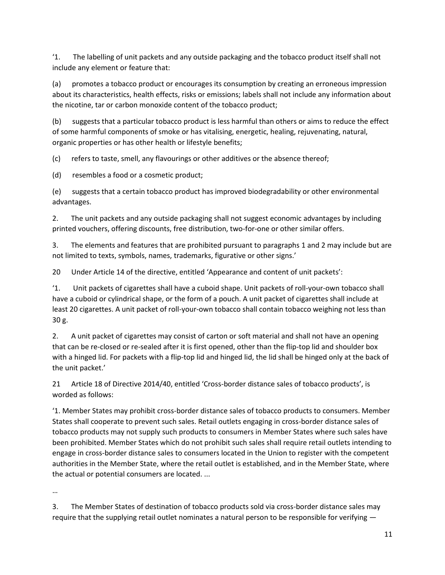'1. The labelling of unit packets and any outside packaging and the tobacco product itself shall not include any element or feature that:

(a) promotes a tobacco product or encourages its consumption by creating an erroneous impression about its characteristics, health effects, risks or emissions; labels shall not include any information about the nicotine, tar or carbon monoxide content of the tobacco product;

(b) suggests that a particular tobacco product is less harmful than others or aims to reduce the effect of some harmful components of smoke or has vitalising, energetic, healing, rejuvenating, natural, organic properties or has other health or lifestyle benefits;

(c) refers to taste, smell, any flavourings or other additives or the absence thereof;

(d) resembles a food or a cosmetic product;

(e) suggests that a certain tobacco product has improved biodegradability or other environmental advantages.

2. The unit packets and any outside packaging shall not suggest economic advantages by including printed vouchers, offering discounts, free distribution, two-for-one or other similar offers.

3. The elements and features that are prohibited pursuant to paragraphs 1 and 2 may include but are not limited to texts, symbols, names, trademarks, figurative or other signs.'

20 Under Article 14 of the directive, entitled 'Appearance and content of unit packets':

'1. Unit packets of cigarettes shall have a cuboid shape. Unit packets of roll-your-own tobacco shall have a cuboid or cylindrical shape, or the form of a pouch. A unit packet of cigarettes shall include at least 20 cigarettes. A unit packet of roll-your-own tobacco shall contain tobacco weighing not less than 30 g.

2. A unit packet of cigarettes may consist of carton or soft material and shall not have an opening that can be re-closed or re-sealed after it is first opened, other than the flip-top lid and shoulder box with a hinged lid. For packets with a flip-top lid and hinged lid, the lid shall be hinged only at the back of the unit packet.'

21 Article 18 of Directive 2014/40, entitled 'Cross-border distance sales of tobacco products', is worded as follows:

'1. Member States may prohibit cross-border distance sales of tobacco products to consumers. Member States shall cooperate to prevent such sales. Retail outlets engaging in cross-border distance sales of tobacco products may not supply such products to consumers in Member States where such sales have been prohibited. Member States which do not prohibit such sales shall require retail outlets intending to engage in cross-border distance sales to consumers located in the Union to register with the competent authorities in the Member State, where the retail outlet is established, and in the Member State, where the actual or potential consumers are located. ...

 $\ddotsc$ 

3. The Member States of destination of tobacco products sold via cross-border distance sales may require that the supplying retail outlet nominates a natural person to be responsible for verifying —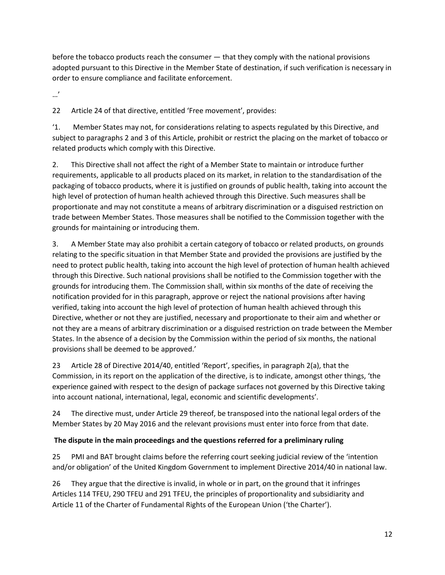before the tobacco products reach the consumer — that they comply with the national provisions adopted pursuant to this Directive in the Member State of destination, if such verification is necessary in order to ensure compliance and facilitate enforcement.

…'

22 Article 24 of that directive, entitled 'Free movement', provides:

'1. Member States may not, for considerations relating to aspects regulated by this Directive, and subject to paragraphs 2 and 3 of this Article, prohibit or restrict the placing on the market of tobacco or related products which comply with this Directive.

2. This Directive shall not affect the right of a Member State to maintain or introduce further requirements, applicable to all products placed on its market, in relation to the standardisation of the packaging of tobacco products, where it is justified on grounds of public health, taking into account the high level of protection of human health achieved through this Directive. Such measures shall be proportionate and may not constitute a means of arbitrary discrimination or a disguised restriction on trade between Member States. Those measures shall be notified to the Commission together with the grounds for maintaining or introducing them.

3. A Member State may also prohibit a certain category of tobacco or related products, on grounds relating to the specific situation in that Member State and provided the provisions are justified by the need to protect public health, taking into account the high level of protection of human health achieved through this Directive. Such national provisions shall be notified to the Commission together with the grounds for introducing them. The Commission shall, within six months of the date of receiving the notification provided for in this paragraph, approve or reject the national provisions after having verified, taking into account the high level of protection of human health achieved through this Directive, whether or not they are justified, necessary and proportionate to their aim and whether or not they are a means of arbitrary discrimination or a disguised restriction on trade between the Member States. In the absence of a decision by the Commission within the period of six months, the national provisions shall be deemed to be approved.'

23 Article 28 of Directive 2014/40, entitled 'Report', specifies, in paragraph 2(a), that the Commission, in its report on the application of the directive, is to indicate, amongst other things, 'the experience gained with respect to the design of package surfaces not governed by this Directive taking into account national, international, legal, economic and scientific developments'.

24 The directive must, under Article 29 thereof, be transposed into the national legal orders of the Member States by 20 May 2016 and the relevant provisions must enter into force from that date.

#### **The dispute in the main proceedings and the questions referred for a preliminary ruling**

25 PMI and BAT brought claims before the referring court seeking judicial review of the 'intention and/or obligation' of the United Kingdom Government to implement Directive 2014/40 in national law.

26 They argue that the directive is invalid, in whole or in part, on the ground that it infringes Articles 114 TFEU, 290 TFEU and 291 TFEU, the principles of proportionality and subsidiarity and Article 11 of the Charter of Fundamental Rights of the European Union ('the Charter').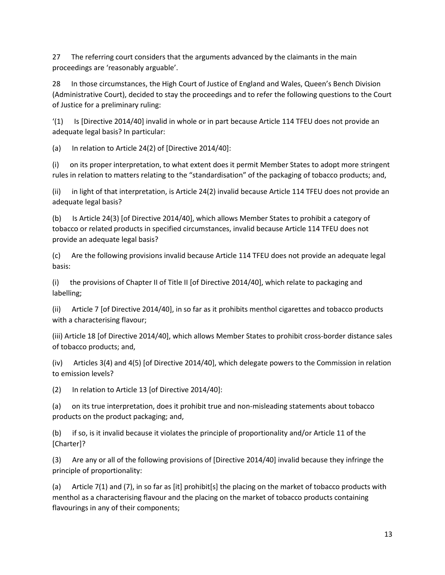27 The referring court considers that the arguments advanced by the claimants in the main proceedings are 'reasonably arguable'.

28 In those circumstances, the High Court of Justice of England and Wales, Queen's Bench Division (Administrative Court), decided to stay the proceedings and to refer the following questions to the Court of Justice for a preliminary ruling:

'(1) Is [Directive 2014/40] invalid in whole or in part because Article 114 TFEU does not provide an adequate legal basis? In particular:

(a) In relation to Article 24(2) of [Directive 2014/40]:

(i) on its proper interpretation, to what extent does it permit Member States to adopt more stringent rules in relation to matters relating to the "standardisation" of the packaging of tobacco products; and,

(ii) in light of that interpretation, is Article 24(2) invalid because Article 114 TFEU does not provide an adequate legal basis?

(b) Is Article 24(3) [of Directive 2014/40], which allows Member States to prohibit a category of tobacco or related products in specified circumstances, invalid because Article 114 TFEU does not provide an adequate legal basis?

(c) Are the following provisions invalid because Article 114 TFEU does not provide an adequate legal basis:

(i) the provisions of Chapter II of Title II [of Directive 2014/40], which relate to packaging and labelling;

(ii) Article 7 [of Directive 2014/40], in so far as it prohibits menthol cigarettes and tobacco products with a characterising flavour;

(iii) Article 18 [of Directive 2014/40], which allows Member States to prohibit cross-border distance sales of tobacco products; and,

(iv) Articles 3(4) and 4(5) [of Directive 2014/40], which delegate powers to the Commission in relation to emission levels?

(2) In relation to Article 13 [of Directive 2014/40]:

(a) on its true interpretation, does it prohibit true and non-misleading statements about tobacco products on the product packaging; and,

(b) if so, is it invalid because it violates the principle of proportionality and/or Article 11 of the [Charter]?

(3) Are any or all of the following provisions of [Directive 2014/40] invalid because they infringe the principle of proportionality:

(a) Article 7(1) and (7), in so far as [it] prohibit[s] the placing on the market of tobacco products with menthol as a characterising flavour and the placing on the market of tobacco products containing flavourings in any of their components;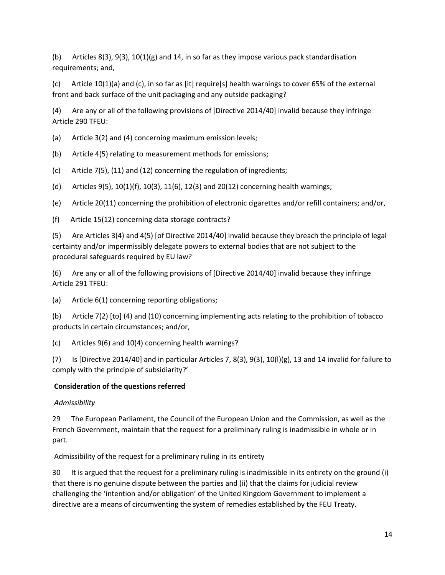(b) Articles 8(3), 9(3), 10(1)(g) and 14, in so far as they impose various pack standardisation requirements; and,

(c) Article 10(1)(a) and (c), in so far as [it] require[s] health warnings to cover 65% of the external front and back surface of the unit packaging and any outside packaging?

(4) Are any or all of the following provisions of [Directive 2014/40] invalid because they infringe Article 290 TFEU:

(a) Article 3(2) and (4) concerning maximum emission levels;

(b) Article 4(5) relating to measurement methods for emissions;

(c) Article 7(5), (11) and (12) concerning the regulation of ingredients;

(d) Articles 9(5), 10(1)(f), 10(3), 11(6), 12(3) and 20(12) concerning health warnings;

(e) Article 20(11) concerning the prohibition of electronic cigarettes and/or refill containers; and/or,

(f) Article 15(12) concerning data storage contracts?

(5) Are Articles 3(4) and 4(5) [of Directive 2014/40] invalid because they breach the principle of legal certainty and/or impermissibly delegate powers to external bodies that are not subject to the procedural safeguards required by EU law?

(6) Are any or all of the following provisions of [Directive 2014/40] invalid because they infringe Article 291 TFEU:

(a) Article 6(1) concerning reporting obligations;

(b) Article 7(2) [to] (4) and (10) concerning implementing acts relating to the prohibition of tobacco products in certain circumstances; and/or,

(c) Articles 9(6) and 10(4) concerning health warnings?

(7) Is [Directive 2014/40] and in particular Articles 7, 8(3), 9(3), 10(l)(g), 13 and 14 invalid for failure to comply with the principle of subsidiarity?'

#### **Consideration of the questions referred**

#### *Admissibility*

29 The European Parliament, the Council of the European Union and the Commission, as well as the French Government, maintain that the request for a preliminary ruling is inadmissible in whole or in part.

Admissibility of the request for a preliminary ruling in its entirety

30 It is argued that the request for a preliminary ruling is inadmissible in its entirety on the ground (i) that there is no genuine dispute between the parties and (ii) that the claims for judicial review challenging the 'intention and/or obligation' of the United Kingdom Government to implement a directive are a means of circumventing the system of remedies established by the FEU Treaty.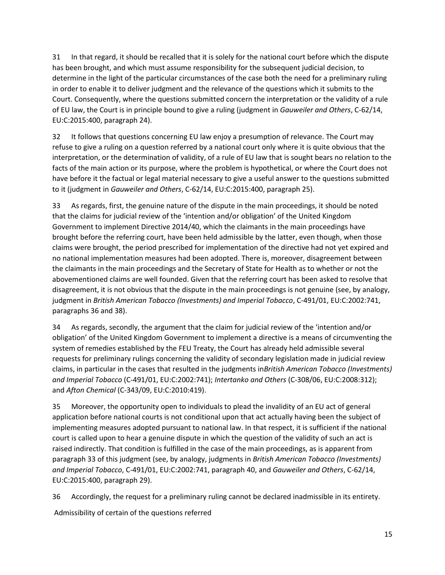31 In that regard, it should be recalled that it is solely for the national court before which the dispute has been brought, and which must assume responsibility for the subsequent judicial decision, to determine in the light of the particular circumstances of the case both the need for a preliminary ruling in order to enable it to deliver judgment and the relevance of the questions which it submits to the Court. Consequently, where the questions submitted concern the interpretation or the validity of a rule of EU law, the Court is in principle bound to give a ruling (judgment in *Gauweiler and Others*, C-62/14, EU:C:2015:400, paragraph 24).

32 It follows that questions concerning EU law enjoy a presumption of relevance. The Court may refuse to give a ruling on a question referred by a national court only where it is quite obvious that the interpretation, or the determination of validity, of a rule of EU law that is sought bears no relation to the facts of the main action or its purpose, where the problem is hypothetical, or where the Court does not have before it the factual or legal material necessary to give a useful answer to the questions submitted to it (judgment in *Gauweiler and Others*, C-62/14, EU:C:2015:400, paragraph 25).

33 As regards, first, the genuine nature of the dispute in the main proceedings, it should be noted that the claims for judicial review of the 'intention and/or obligation' of the United Kingdom Government to implement Directive 2014/40, which the claimants in the main proceedings have brought before the referring court, have been held admissible by the latter, even though, when those claims were brought, the period prescribed for implementation of the directive had not yet expired and no national implementation measures had been adopted. There is, moreover, disagreement between the claimants in the main proceedings and the Secretary of State for Health as to whether or not the abovementioned claims are well founded. Given that the referring court has been asked to resolve that disagreement, it is not obvious that the dispute in the main proceedings is not genuine (see, by analogy, judgment in *British American Tobacco (Investments) and Imperial Tobacco*, C-491/01, EU:C:2002:741, paragraphs 36 and 38).

34 As regards, secondly, the argument that the claim for judicial review of the 'intention and/or obligation' of the United Kingdom Government to implement a directive is a means of circumventing the system of remedies established by the FEU Treaty, the Court has already held admissible several requests for preliminary rulings concerning the validity of secondary legislation made in judicial review claims, in particular in the cases that resulted in the judgments in*British American Tobacco (Investments) and Imperial Tobacco* (C-491/01, EU:C:2002:741); *Intertanko and Others* (C-308/06, EU:C:2008:312); and *Afton Chemical* (C-343/09, EU:C:2010:419).

35 Moreover, the opportunity open to individuals to plead the invalidity of an EU act of general application before national courts is not conditional upon that act actually having been the subject of implementing measures adopted pursuant to national law. In that respect, it is sufficient if the national court is called upon to hear a genuine dispute in which the question of the validity of such an act is raised indirectly. That condition is fulfilled in the case of the main proceedings, as is apparent from paragraph 33 of this judgment (see, by analogy, judgments in *British American Tobacco (Investments) and Imperial Tobacco*, C-491/01, EU:C:2002:741, paragraph 40, and *Gauweiler and Others*, C-62/14, EU:C:2015:400, paragraph 29).

36 Accordingly, the request for a preliminary ruling cannot be declared inadmissible in its entirety.

Admissibility of certain of the questions referred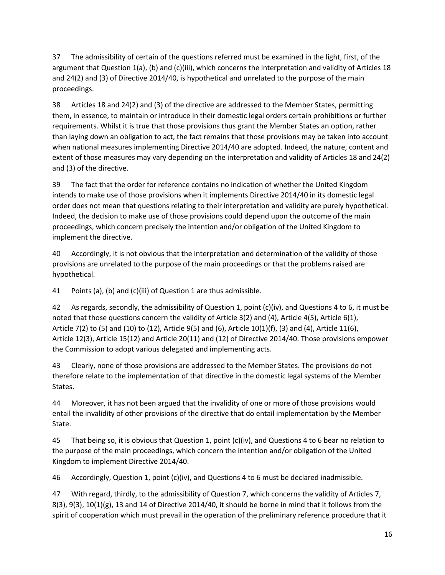37 The admissibility of certain of the questions referred must be examined in the light, first, of the argument that Question 1(a), (b) and (c)(iii), which concerns the interpretation and validity of Articles 18 and 24(2) and (3) of Directive 2014/40, is hypothetical and unrelated to the purpose of the main proceedings.

38 Articles 18 and 24(2) and (3) of the directive are addressed to the Member States, permitting them, in essence, to maintain or introduce in their domestic legal orders certain prohibitions or further requirements. Whilst it is true that those provisions thus grant the Member States an option, rather than laying down an obligation to act, the fact remains that those provisions may be taken into account when national measures implementing Directive 2014/40 are adopted. Indeed, the nature, content and extent of those measures may vary depending on the interpretation and validity of Articles 18 and 24(2) and (3) of the directive.

39 The fact that the order for reference contains no indication of whether the United Kingdom intends to make use of those provisions when it implements Directive 2014/40 in its domestic legal order does not mean that questions relating to their interpretation and validity are purely hypothetical. Indeed, the decision to make use of those provisions could depend upon the outcome of the main proceedings, which concern precisely the intention and/or obligation of the United Kingdom to implement the directive.

40 Accordingly, it is not obvious that the interpretation and determination of the validity of those provisions are unrelated to the purpose of the main proceedings or that the problems raised are hypothetical.

41 Points (a), (b) and (c)(iii) of Question 1 are thus admissible.

42 As regards, secondly, the admissibility of Question 1, point (c)(iv), and Questions 4 to 6, it must be noted that those questions concern the validity of Article 3(2) and (4), Article 4(5), Article 6(1), Article 7(2) to (5) and (10) to (12), Article 9(5) and (6), Article 10(1)(f), (3) and (4), Article 11(6), Article 12(3), Article 15(12) and Article 20(11) and (12) of Directive 2014/40. Those provisions empower the Commission to adopt various delegated and implementing acts.

43 Clearly, none of those provisions are addressed to the Member States. The provisions do not therefore relate to the implementation of that directive in the domestic legal systems of the Member States.

44 Moreover, it has not been argued that the invalidity of one or more of those provisions would entail the invalidity of other provisions of the directive that do entail implementation by the Member State.

45 That being so, it is obvious that Question 1, point (c)(iv), and Questions 4 to 6 bear no relation to the purpose of the main proceedings, which concern the intention and/or obligation of the United Kingdom to implement Directive 2014/40.

46 Accordingly, Question 1, point (c)(iv), and Questions 4 to 6 must be declared inadmissible.

47 With regard, thirdly, to the admissibility of Question 7, which concerns the validity of Articles 7, 8(3), 9(3), 10(1)(g), 13 and 14 of Directive 2014/40, it should be borne in mind that it follows from the spirit of cooperation which must prevail in the operation of the preliminary reference procedure that it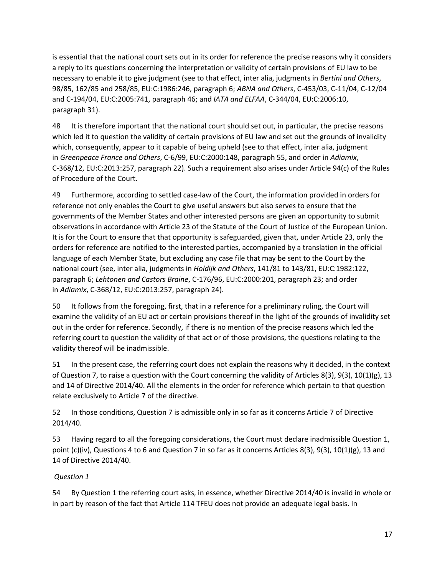is essential that the national court sets out in its order for reference the precise reasons why it considers a reply to its questions concerning the interpretation or validity of certain provisions of EU law to be necessary to enable it to give judgment (see to that effect, inter alia, judgments in *Bertini and Others*, 98/85, 162/85 and 258/85, EU:C:1986:246, paragraph 6; *ABNA and Others*, C-453/03, C-11/04, C-12/04 and C-194/04, EU:C:2005:741, paragraph 46; and *IATA and ELFAA*, C-344/04, EU:C:2006:10, paragraph 31).

48 It is therefore important that the national court should set out, in particular, the precise reasons which led it to question the validity of certain provisions of EU law and set out the grounds of invalidity which, consequently, appear to it capable of being upheld (see to that effect, inter alia, judgment in *Greenpeace France and Others*, C-6/99, EU:C:2000:148, paragraph 55, and order in *Adiamix*, C-368/12, EU:C:2013:257, paragraph 22). Such a requirement also arises under Article 94(c) of the Rules of Procedure of the Court.

49 Furthermore, according to settled case-law of the Court, the information provided in orders for reference not only enables the Court to give useful answers but also serves to ensure that the governments of the Member States and other interested persons are given an opportunity to submit observations in accordance with Article 23 of the Statute of the Court of Justice of the European Union. It is for the Court to ensure that that opportunity is safeguarded, given that, under Article 23, only the orders for reference are notified to the interested parties, accompanied by a translation in the official language of each Member State, but excluding any case file that may be sent to the Court by the national court (see, inter alia, judgments in *Holdijk and Others*, 141/81 to 143/81, EU:C:1982:122, paragraph 6; *Lehtonen and Castors Braine*, C-176/96, EU:C:2000:201, paragraph 23; and order in *Adiamix*, C-368/12, EU:C:2013:257, paragraph 24).

50 It follows from the foregoing, first, that in a reference for a preliminary ruling, the Court will examine the validity of an EU act or certain provisions thereof in the light of the grounds of invalidity set out in the order for reference. Secondly, if there is no mention of the precise reasons which led the referring court to question the validity of that act or of those provisions, the questions relating to the validity thereof will be inadmissible.

51 In the present case, the referring court does not explain the reasons why it decided, in the context of Question 7, to raise a question with the Court concerning the validity of Articles 8(3), 9(3), 10(1)(g), 13 and 14 of Directive 2014/40. All the elements in the order for reference which pertain to that question relate exclusively to Article 7 of the directive.

52 In those conditions, Question 7 is admissible only in so far as it concerns Article 7 of Directive 2014/40.

53 Having regard to all the foregoing considerations, the Court must declare inadmissible Question 1, point (c)(iv), Questions 4 to 6 and Question 7 in so far as it concerns Articles 8(3), 9(3), 10(1)(g), 13 and 14 of Directive 2014/40.

# *Question 1*

54 By Question 1 the referring court asks, in essence, whether Directive 2014/40 is invalid in whole or in part by reason of the fact that Article 114 TFEU does not provide an adequate legal basis. In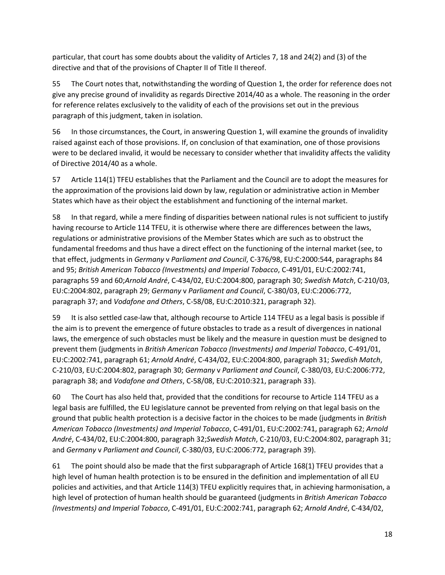particular, that court has some doubts about the validity of Articles 7, 18 and 24(2) and (3) of the directive and that of the provisions of Chapter II of Title II thereof.

55 The Court notes that, notwithstanding the wording of Question 1, the order for reference does not give any precise ground of invalidity as regards Directive 2014/40 as a whole. The reasoning in the order for reference relates exclusively to the validity of each of the provisions set out in the previous paragraph of this judgment, taken in isolation.

56 In those circumstances, the Court, in answering Question 1, will examine the grounds of invalidity raised against each of those provisions. If, on conclusion of that examination, one of those provisions were to be declared invalid, it would be necessary to consider whether that invalidity affects the validity of Directive 2014/40 as a whole.

57 Article 114(1) TFEU establishes that the Parliament and the Council are to adopt the measures for the approximation of the provisions laid down by law, regulation or administrative action in Member States which have as their object the establishment and functioning of the internal market.

58 In that regard, while a mere finding of disparities between national rules is not sufficient to justify having recourse to Article 114 TFEU, it is otherwise where there are differences between the laws, regulations or administrative provisions of the Member States which are such as to obstruct the fundamental freedoms and thus have a direct effect on the functioning of the internal market (see, to that effect, judgments in *Germany* v *Parliament and Council*, C-376/98, EU:C:2000:544, paragraphs 84 and 95; *British American Tobacco (Investments) and Imperial Tobacco*, C-491/01, EU:C:2002:741, paragraphs 59 and 60;*Arnold André*, C-434/02, EU:C:2004:800, paragraph 30; *Swedish Match*, C-210/03, EU:C:2004:802, paragraph 29; *Germany* v *Parliament and Council*, C-380/03, EU:C:2006:772, paragraph 37; and *Vodafone and Others*, C-58/08, EU:C:2010:321, paragraph 32).

59 It is also settled case-law that, although recourse to Article 114 TFEU as a legal basis is possible if the aim is to prevent the emergence of future obstacles to trade as a result of divergences in national laws, the emergence of such obstacles must be likely and the measure in question must be designed to prevent them (judgments in *British American Tobacco (Investments) and Imperial Tobacco*, C-491/01, EU:C:2002:741, paragraph 61; *Arnold André*, C-434/02, EU:C:2004:800, paragraph 31; *Swedish Match*, C-210/03, EU:C:2004:802, paragraph 30; *Germany* v *Parliament and Council*, C-380/03, EU:C:2006:772, paragraph 38; and *Vodafone and Others*, C-58/08, EU:C:2010:321, paragraph 33).

60 The Court has also held that, provided that the conditions for recourse to Article 114 TFEU as a legal basis are fulfilled, the EU legislature cannot be prevented from relying on that legal basis on the ground that public health protection is a decisive factor in the choices to be made (judgments in *British American Tobacco (Investments) and Imperial Tobacco*, C-491/01, EU:C:2002:741, paragraph 62; *Arnold André*, C-434/02, EU:C:2004:800, paragraph 32;*Swedish Match*, C-210/03, EU:C:2004:802, paragraph 31; and *Germany* v *Parliament and Council*, C-380/03, EU:C:2006:772, paragraph 39).

61 The point should also be made that the first subparagraph of Article 168(1) TFEU provides that a high level of human health protection is to be ensured in the definition and implementation of all EU policies and activities, and that Article 114(3) TFEU explicitly requires that, in achieving harmonisation, a high level of protection of human health should be guaranteed (judgments in *British American Tobacco (Investments) and Imperial Tobacco*, C-491/01, EU:C:2002:741, paragraph 62; *Arnold André*, C-434/02,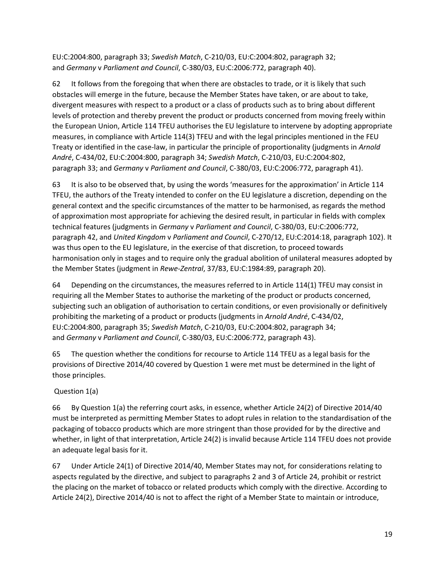EU:C:2004:800, paragraph 33; *Swedish Match*, C-210/03, EU:C:2004:802, paragraph 32; and *Germany* v *Parliament and Council*, C-380/03, EU:C:2006:772, paragraph 40).

62 It follows from the foregoing that when there are obstacles to trade, or it is likely that such obstacles will emerge in the future, because the Member States have taken, or are about to take, divergent measures with respect to a product or a class of products such as to bring about different levels of protection and thereby prevent the product or products concerned from moving freely within the European Union, Article 114 TFEU authorises the EU legislature to intervene by adopting appropriate measures, in compliance with Article 114(3) TFEU and with the legal principles mentioned in the FEU Treaty or identified in the case-law, in particular the principle of proportionality (judgments in *Arnold André*, C-434/02, EU:C:2004:800, paragraph 34; *Swedish Match*, C-210/03, EU:C:2004:802, paragraph 33; and *Germany* v *Parliament and Council*, C-380/03, EU:C:2006:772, paragraph 41).

63 It is also to be observed that, by using the words 'measures for the approximation' in Article 114 TFEU, the authors of the Treaty intended to confer on the EU legislature a discretion, depending on the general context and the specific circumstances of the matter to be harmonised, as regards the method of approximation most appropriate for achieving the desired result, in particular in fields with complex technical features (judgments in *Germany* v *Parliament and Council*, C-380/03, EU:C:2006:772, paragraph 42, and *United Kingdom* v *Parliament and Council*, C-270/12, EU:C:2014:18, paragraph 102). It was thus open to the EU legislature, in the exercise of that discretion, to proceed towards harmonisation only in stages and to require only the gradual abolition of unilateral measures adopted by the Member States (judgment in *Rewe-Zentral*, 37/83, EU:C:1984:89, paragraph 20).

64 Depending on the circumstances, the measures referred to in Article 114(1) TFEU may consist in requiring all the Member States to authorise the marketing of the product or products concerned, subjecting such an obligation of authorisation to certain conditions, or even provisionally or definitively prohibiting the marketing of a product or products (judgments in *Arnold André*, C-434/02, EU:C:2004:800, paragraph 35; *Swedish Match*, C-210/03, EU:C:2004:802, paragraph 34; and *Germany* v *Parliament and Council*, C-380/03, EU:C:2006:772, paragraph 43).

65 The question whether the conditions for recourse to Article 114 TFEU as a legal basis for the provisions of Directive 2014/40 covered by Question 1 were met must be determined in the light of those principles.

# Question 1(a)

66 By Question 1(a) the referring court asks, in essence, whether Article 24(2) of Directive 2014/40 must be interpreted as permitting Member States to adopt rules in relation to the standardisation of the packaging of tobacco products which are more stringent than those provided for by the directive and whether, in light of that interpretation, Article 24(2) is invalid because Article 114 TFEU does not provide an adequate legal basis for it.

67 Under Article 24(1) of Directive 2014/40, Member States may not, for considerations relating to aspects regulated by the directive, and subject to paragraphs 2 and 3 of Article 24, prohibit or restrict the placing on the market of tobacco or related products which comply with the directive. According to Article 24(2), Directive 2014/40 is not to affect the right of a Member State to maintain or introduce,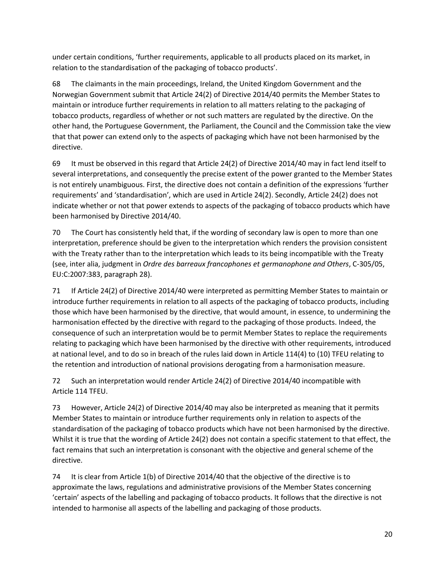under certain conditions, 'further requirements, applicable to all products placed on its market, in relation to the standardisation of the packaging of tobacco products'.

68 The claimants in the main proceedings, Ireland, the United Kingdom Government and the Norwegian Government submit that Article 24(2) of Directive 2014/40 permits the Member States to maintain or introduce further requirements in relation to all matters relating to the packaging of tobacco products, regardless of whether or not such matters are regulated by the directive. On the other hand, the Portuguese Government, the Parliament, the Council and the Commission take the view that that power can extend only to the aspects of packaging which have not been harmonised by the directive.

69 It must be observed in this regard that Article 24(2) of Directive 2014/40 may in fact lend itself to several interpretations, and consequently the precise extent of the power granted to the Member States is not entirely unambiguous. First, the directive does not contain a definition of the expressions 'further requirements' and 'standardisation', which are used in Article 24(2). Secondly, Article 24(2) does not indicate whether or not that power extends to aspects of the packaging of tobacco products which have been harmonised by Directive 2014/40.

70 The Court has consistently held that, if the wording of secondary law is open to more than one interpretation, preference should be given to the interpretation which renders the provision consistent with the Treaty rather than to the interpretation which leads to its being incompatible with the Treaty (see, inter alia, judgment in *Ordre des barreaux francophones et germanophone and Others*, C-305/05, EU:C:2007:383, paragraph 28).

71 If Article 24(2) of Directive 2014/40 were interpreted as permitting Member States to maintain or introduce further requirements in relation to all aspects of the packaging of tobacco products, including those which have been harmonised by the directive, that would amount, in essence, to undermining the harmonisation effected by the directive with regard to the packaging of those products. Indeed, the consequence of such an interpretation would be to permit Member States to replace the requirements relating to packaging which have been harmonised by the directive with other requirements, introduced at national level, and to do so in breach of the rules laid down in Article 114(4) to (10) TFEU relating to the retention and introduction of national provisions derogating from a harmonisation measure.

72 Such an interpretation would render Article 24(2) of Directive 2014/40 incompatible with Article 114 TFEU.

73 However, Article 24(2) of Directive 2014/40 may also be interpreted as meaning that it permits Member States to maintain or introduce further requirements only in relation to aspects of the standardisation of the packaging of tobacco products which have not been harmonised by the directive. Whilst it is true that the wording of Article 24(2) does not contain a specific statement to that effect, the fact remains that such an interpretation is consonant with the objective and general scheme of the directive.

74 It is clear from Article 1(b) of Directive 2014/40 that the objective of the directive is to approximate the laws, regulations and administrative provisions of the Member States concerning 'certain' aspects of the labelling and packaging of tobacco products. It follows that the directive is not intended to harmonise all aspects of the labelling and packaging of those products.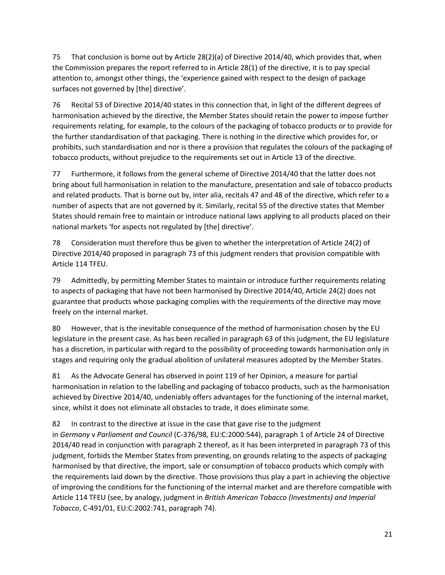75 That conclusion is borne out by Article 28(2)(a) of Directive 2014/40, which provides that, when the Commission prepares the report referred to in Article 28(1) of the directive, it is to pay special attention to, amongst other things, the 'experience gained with respect to the design of package surfaces not governed by [the] directive'.

76 Recital 53 of Directive 2014/40 states in this connection that, in light of the different degrees of harmonisation achieved by the directive, the Member States should retain the power to impose further requirements relating, for example, to the colours of the packaging of tobacco products or to provide for the further standardisation of that packaging. There is nothing in the directive which provides for, or prohibits, such standardisation and nor is there a provision that regulates the colours of the packaging of tobacco products, without prejudice to the requirements set out in Article 13 of the directive.

77 Furthermore, it follows from the general scheme of Directive 2014/40 that the latter does not bring about full harmonisation in relation to the manufacture, presentation and sale of tobacco products and related products. That is borne out by, inter alia, recitals 47 and 48 of the directive, which refer to a number of aspects that are not governed by it. Similarly, recital 55 of the directive states that Member States should remain free to maintain or introduce national laws applying to all products placed on their national markets 'for aspects not regulated by [the] directive'.

78 Consideration must therefore thus be given to whether the interpretation of Article 24(2) of Directive 2014/40 proposed in paragraph 73 of this judgment renders that provision compatible with Article 114 TFEU.

79 Admittedly, by permitting Member States to maintain or introduce further requirements relating to aspects of packaging that have not been harmonised by Directive 2014/40, Article 24(2) does not guarantee that products whose packaging complies with the requirements of the directive may move freely on the internal market.

80 However, that is the inevitable consequence of the method of harmonisation chosen by the EU legislature in the present case. As has been recalled in paragraph 63 of this judgment, the EU legislature has a discretion, in particular with regard to the possibility of proceeding towards harmonisation only in stages and requiring only the gradual abolition of unilateral measures adopted by the Member States.

81 As the Advocate General has observed in point 119 of her Opinion, a measure for partial harmonisation in relation to the labelling and packaging of tobacco products, such as the harmonisation achieved by Directive 2014/40, undeniably offers advantages for the functioning of the internal market, since, whilst it does not eliminate all obstacles to trade, it does eliminate some.

82 In contrast to the directive at issue in the case that gave rise to the judgment

in *Germany* v *Parliament and Council* (C-376/98, EU:C:2000:544), paragraph 1 of Article 24 of Directive 2014/40 read in conjunction with paragraph 2 thereof, as it has been interpreted in paragraph 73 of this judgment, forbids the Member States from preventing, on grounds relating to the aspects of packaging harmonised by that directive, the import, sale or consumption of tobacco products which comply with the requirements laid down by the directive. Those provisions thus play a part in achieving the objective of improving the conditions for the functioning of the internal market and are therefore compatible with Article 114 TFEU (see, by analogy, judgment in *British American Tobacco (Investments) and Imperial Tobacco*, C-491/01, EU:C:2002:741, paragraph 74).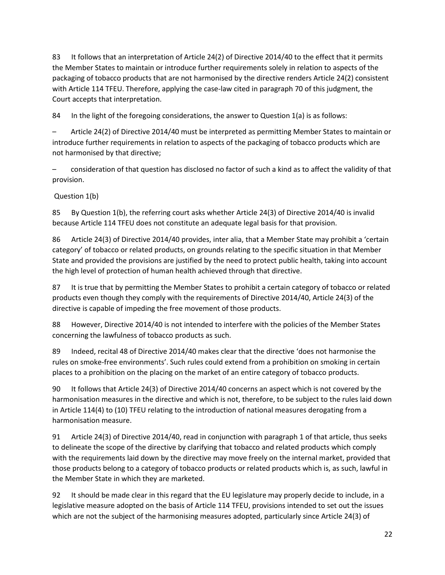83 It follows that an interpretation of Article 24(2) of Directive 2014/40 to the effect that it permits the Member States to maintain or introduce further requirements solely in relation to aspects of the packaging of tobacco products that are not harmonised by the directive renders Article 24(2) consistent with Article 114 TFEU. Therefore, applying the case-law cited in paragraph 70 of this judgment, the Court accepts that interpretation.

84 In the light of the foregoing considerations, the answer to Question 1(a) is as follows:

– Article 24(2) of Directive 2014/40 must be interpreted as permitting Member States to maintain or introduce further requirements in relation to aspects of the packaging of tobacco products which are not harmonised by that directive;

– consideration of that question has disclosed no factor of such a kind as to affect the validity of that provision.

Question 1(b)

85 By Question 1(b), the referring court asks whether Article 24(3) of Directive 2014/40 is invalid because Article 114 TFEU does not constitute an adequate legal basis for that provision.

86 Article 24(3) of Directive 2014/40 provides, inter alia, that a Member State may prohibit a 'certain category' of tobacco or related products, on grounds relating to the specific situation in that Member State and provided the provisions are justified by the need to protect public health, taking into account the high level of protection of human health achieved through that directive.

87 It is true that by permitting the Member States to prohibit a certain category of tobacco or related products even though they comply with the requirements of Directive 2014/40, Article 24(3) of the directive is capable of impeding the free movement of those products.

88 However, Directive 2014/40 is not intended to interfere with the policies of the Member States concerning the lawfulness of tobacco products as such.

89 Indeed, recital 48 of Directive 2014/40 makes clear that the directive 'does not harmonise the rules on smoke-free environments'. Such rules could extend from a prohibition on smoking in certain places to a prohibition on the placing on the market of an entire category of tobacco products.

90 It follows that Article 24(3) of Directive 2014/40 concerns an aspect which is not covered by the harmonisation measures in the directive and which is not, therefore, to be subject to the rules laid down in Article 114(4) to (10) TFEU relating to the introduction of national measures derogating from a harmonisation measure.

91 Article 24(3) of Directive 2014/40, read in conjunction with paragraph 1 of that article, thus seeks to delineate the scope of the directive by clarifying that tobacco and related products which comply with the requirements laid down by the directive may move freely on the internal market, provided that those products belong to a category of tobacco products or related products which is, as such, lawful in the Member State in which they are marketed.

92 It should be made clear in this regard that the EU legislature may properly decide to include, in a legislative measure adopted on the basis of Article 114 TFEU, provisions intended to set out the issues which are not the subject of the harmonising measures adopted, particularly since Article 24(3) of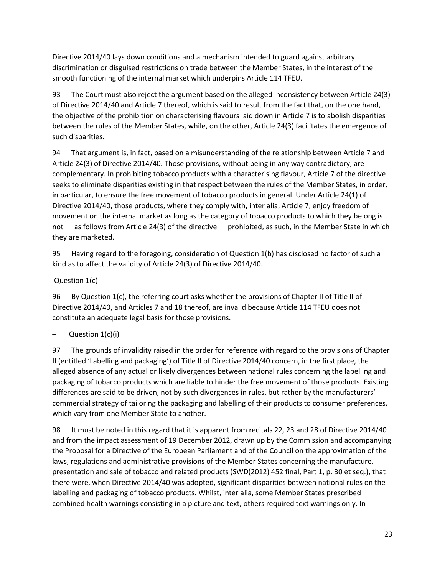Directive 2014/40 lays down conditions and a mechanism intended to guard against arbitrary discrimination or disguised restrictions on trade between the Member States, in the interest of the smooth functioning of the internal market which underpins Article 114 TFEU.

93 The Court must also reject the argument based on the alleged inconsistency between Article 24(3) of Directive 2014/40 and Article 7 thereof, which is said to result from the fact that, on the one hand, the objective of the prohibition on characterising flavours laid down in Article 7 is to abolish disparities between the rules of the Member States, while, on the other, Article 24(3) facilitates the emergence of such disparities.

94 That argument is, in fact, based on a misunderstanding of the relationship between Article 7 and Article 24(3) of Directive 2014/40. Those provisions, without being in any way contradictory, are complementary. In prohibiting tobacco products with a characterising flavour, Article 7 of the directive seeks to eliminate disparities existing in that respect between the rules of the Member States, in order, in particular, to ensure the free movement of tobacco products in general. Under Article 24(1) of Directive 2014/40, those products, where they comply with, inter alia, Article 7, enjoy freedom of movement on the internal market as long as the category of tobacco products to which they belong is not — as follows from Article 24(3) of the directive — prohibited, as such, in the Member State in which they are marketed.

95 Having regard to the foregoing, consideration of Question 1(b) has disclosed no factor of such a kind as to affect the validity of Article 24(3) of Directive 2014/40.

### Question 1(c)

96 By Question 1(c), the referring court asks whether the provisions of Chapter II of Title II of Directive 2014/40, and Articles 7 and 18 thereof, are invalid because Article 114 TFEU does not constitute an adequate legal basis for those provisions.

# – Question 1(c)(i)

97 The grounds of invalidity raised in the order for reference with regard to the provisions of Chapter II (entitled 'Labelling and packaging') of Title II of Directive 2014/40 concern, in the first place, the alleged absence of any actual or likely divergences between national rules concerning the labelling and packaging of tobacco products which are liable to hinder the free movement of those products. Existing differences are said to be driven, not by such divergences in rules, but rather by the manufacturers' commercial strategy of tailoring the packaging and labelling of their products to consumer preferences, which vary from one Member State to another.

98 It must be noted in this regard that it is apparent from recitals 22, 23 and 28 of Directive 2014/40 and from the impact assessment of 19 December 2012, drawn up by the Commission and accompanying the Proposal for a Directive of the European Parliament and of the Council on the approximation of the laws, regulations and administrative provisions of the Member States concerning the manufacture, presentation and sale of tobacco and related products (SWD(2012) 452 final, Part 1, p. 30 et seq.), that there were, when Directive 2014/40 was adopted, significant disparities between national rules on the labelling and packaging of tobacco products. Whilst, inter alia, some Member States prescribed combined health warnings consisting in a picture and text, others required text warnings only. In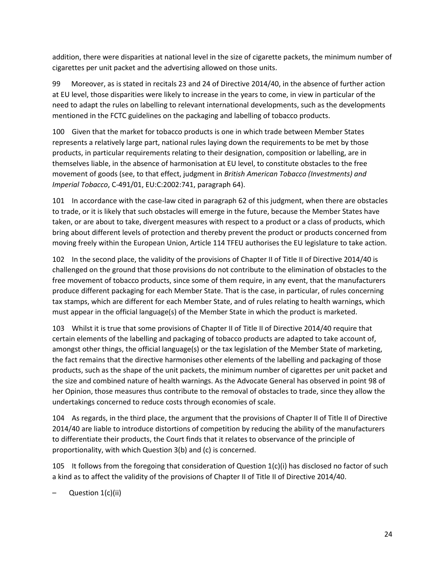addition, there were disparities at national level in the size of cigarette packets, the minimum number of cigarettes per unit packet and the advertising allowed on those units.

99 Moreover, as is stated in recitals 23 and 24 of Directive 2014/40, in the absence of further action at EU level, those disparities were likely to increase in the years to come, in view in particular of the need to adapt the rules on labelling to relevant international developments, such as the developments mentioned in the FCTC guidelines on the packaging and labelling of tobacco products.

100 Given that the market for tobacco products is one in which trade between Member States represents a relatively large part, national rules laying down the requirements to be met by those products, in particular requirements relating to their designation, composition or labelling, are in themselves liable, in the absence of harmonisation at EU level, to constitute obstacles to the free movement of goods (see, to that effect, judgment in *British American Tobacco (Investments) and Imperial Tobacco*, C-491/01, EU:C:2002:741, paragraph 64).

101 In accordance with the case-law cited in paragraph 62 of this judgment, when there are obstacles to trade, or it is likely that such obstacles will emerge in the future, because the Member States have taken, or are about to take, divergent measures with respect to a product or a class of products, which bring about different levels of protection and thereby prevent the product or products concerned from moving freely within the European Union, Article 114 TFEU authorises the EU legislature to take action.

102 In the second place, the validity of the provisions of Chapter II of Title II of Directive 2014/40 is challenged on the ground that those provisions do not contribute to the elimination of obstacles to the free movement of tobacco products, since some of them require, in any event, that the manufacturers produce different packaging for each Member State. That is the case, in particular, of rules concerning tax stamps, which are different for each Member State, and of rules relating to health warnings, which must appear in the official language(s) of the Member State in which the product is marketed.

103 Whilst it is true that some provisions of Chapter II of Title II of Directive 2014/40 require that certain elements of the labelling and packaging of tobacco products are adapted to take account of, amongst other things, the official language(s) or the tax legislation of the Member State of marketing, the fact remains that the directive harmonises other elements of the labelling and packaging of those products, such as the shape of the unit packets, the minimum number of cigarettes per unit packet and the size and combined nature of health warnings. As the Advocate General has observed in point 98 of her Opinion, those measures thus contribute to the removal of obstacles to trade, since they allow the undertakings concerned to reduce costs through economies of scale.

104 As regards, in the third place, the argument that the provisions of Chapter II of Title II of Directive 2014/40 are liable to introduce distortions of competition by reducing the ability of the manufacturers to differentiate their products, the Court finds that it relates to observance of the principle of proportionality, with which Question 3(b) and (c) is concerned.

105 It follows from the foregoing that consideration of Question  $1(c)(i)$  has disclosed no factor of such a kind as to affect the validity of the provisions of Chapter II of Title II of Directive 2014/40.

– Question 1(c)(ii)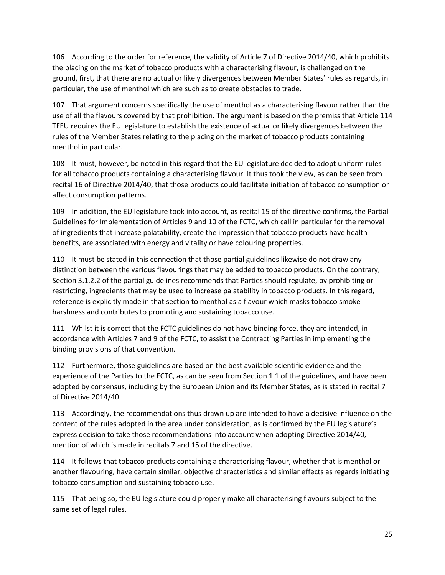106 According to the order for reference, the validity of Article 7 of Directive 2014/40, which prohibits the placing on the market of tobacco products with a characterising flavour, is challenged on the ground, first, that there are no actual or likely divergences between Member States' rules as regards, in particular, the use of menthol which are such as to create obstacles to trade.

107 That argument concerns specifically the use of menthol as a characterising flavour rather than the use of all the flavours covered by that prohibition. The argument is based on the premiss that Article 114 TFEU requires the EU legislature to establish the existence of actual or likely divergences between the rules of the Member States relating to the placing on the market of tobacco products containing menthol in particular.

108 It must, however, be noted in this regard that the EU legislature decided to adopt uniform rules for all tobacco products containing a characterising flavour. It thus took the view, as can be seen from recital 16 of Directive 2014/40, that those products could facilitate initiation of tobacco consumption or affect consumption patterns.

109 In addition, the EU legislature took into account, as recital 15 of the directive confirms, the Partial Guidelines for Implementation of Articles 9 and 10 of the FCTC, which call in particular for the removal of ingredients that increase palatability, create the impression that tobacco products have health benefits, are associated with energy and vitality or have colouring properties.

110 It must be stated in this connection that those partial guidelines likewise do not draw any distinction between the various flavourings that may be added to tobacco products. On the contrary, Section 3.1.2.2 of the partial guidelines recommends that Parties should regulate, by prohibiting or restricting, ingredients that may be used to increase palatability in tobacco products. In this regard, reference is explicitly made in that section to menthol as a flavour which masks tobacco smoke harshness and contributes to promoting and sustaining tobacco use.

111 Whilst it is correct that the FCTC guidelines do not have binding force, they are intended, in accordance with Articles 7 and 9 of the FCTC, to assist the Contracting Parties in implementing the binding provisions of that convention.

112 Furthermore, those guidelines are based on the best available scientific evidence and the experience of the Parties to the FCTC, as can be seen from Section 1.1 of the guidelines, and have been adopted by consensus, including by the European Union and its Member States, as is stated in recital 7 of Directive 2014/40.

113 Accordingly, the recommendations thus drawn up are intended to have a decisive influence on the content of the rules adopted in the area under consideration, as is confirmed by the EU legislature's express decision to take those recommendations into account when adopting Directive 2014/40, mention of which is made in recitals 7 and 15 of the directive.

114 It follows that tobacco products containing a characterising flavour, whether that is menthol or another flavouring, have certain similar, objective characteristics and similar effects as regards initiating tobacco consumption and sustaining tobacco use.

115 That being so, the EU legislature could properly make all characterising flavours subject to the same set of legal rules.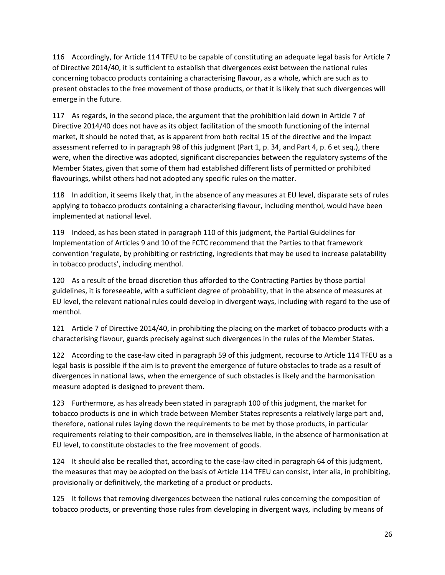116 Accordingly, for Article 114 TFEU to be capable of constituting an adequate legal basis for Article 7 of Directive 2014/40, it is sufficient to establish that divergences exist between the national rules concerning tobacco products containing a characterising flavour, as a whole, which are such as to present obstacles to the free movement of those products, or that it is likely that such divergences will emerge in the future.

117 As regards, in the second place, the argument that the prohibition laid down in Article 7 of Directive 2014/40 does not have as its object facilitation of the smooth functioning of the internal market, it should be noted that, as is apparent from both recital 15 of the directive and the impact assessment referred to in paragraph 98 of this judgment (Part 1, p. 34, and Part 4, p. 6 et seq.), there were, when the directive was adopted, significant discrepancies between the regulatory systems of the Member States, given that some of them had established different lists of permitted or prohibited flavourings, whilst others had not adopted any specific rules on the matter.

118 In addition, it seems likely that, in the absence of any measures at EU level, disparate sets of rules applying to tobacco products containing a characterising flavour, including menthol, would have been implemented at national level.

119 Indeed, as has been stated in paragraph 110 of this judgment, the Partial Guidelines for Implementation of Articles 9 and 10 of the FCTC recommend that the Parties to that framework convention 'regulate, by prohibiting or restricting, ingredients that may be used to increase palatability in tobacco products', including menthol.

120 As a result of the broad discretion thus afforded to the Contracting Parties by those partial guidelines, it is foreseeable, with a sufficient degree of probability, that in the absence of measures at EU level, the relevant national rules could develop in divergent ways, including with regard to the use of menthol.

121 Article 7 of Directive 2014/40, in prohibiting the placing on the market of tobacco products with a characterising flavour, guards precisely against such divergences in the rules of the Member States.

122 According to the case-law cited in paragraph 59 of this judgment, recourse to Article 114 TFEU as a legal basis is possible if the aim is to prevent the emergence of future obstacles to trade as a result of divergences in national laws, when the emergence of such obstacles is likely and the harmonisation measure adopted is designed to prevent them.

123 Furthermore, as has already been stated in paragraph 100 of this judgment, the market for tobacco products is one in which trade between Member States represents a relatively large part and, therefore, national rules laying down the requirements to be met by those products, in particular requirements relating to their composition, are in themselves liable, in the absence of harmonisation at EU level, to constitute obstacles to the free movement of goods.

124 It should also be recalled that, according to the case-law cited in paragraph 64 of this judgment, the measures that may be adopted on the basis of Article 114 TFEU can consist, inter alia, in prohibiting, provisionally or definitively, the marketing of a product or products.

125 It follows that removing divergences between the national rules concerning the composition of tobacco products, or preventing those rules from developing in divergent ways, including by means of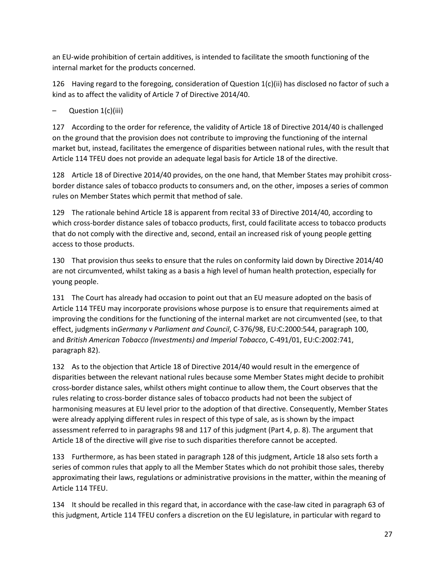an EU-wide prohibition of certain additives, is intended to facilitate the smooth functioning of the internal market for the products concerned.

126 Having regard to the foregoing, consideration of Question  $1(c)(ii)$  has disclosed no factor of such a kind as to affect the validity of Article 7 of Directive 2014/40.

### – Question 1(c)(iii)

127 According to the order for reference, the validity of Article 18 of Directive 2014/40 is challenged on the ground that the provision does not contribute to improving the functioning of the internal market but, instead, facilitates the emergence of disparities between national rules, with the result that Article 114 TFEU does not provide an adequate legal basis for Article 18 of the directive.

128 Article 18 of Directive 2014/40 provides, on the one hand, that Member States may prohibit crossborder distance sales of tobacco products to consumers and, on the other, imposes a series of common rules on Member States which permit that method of sale.

129 The rationale behind Article 18 is apparent from recital 33 of Directive 2014/40, according to which cross-border distance sales of tobacco products, first, could facilitate access to tobacco products that do not comply with the directive and, second, entail an increased risk of young people getting access to those products.

130 That provision thus seeks to ensure that the rules on conformity laid down by Directive 2014/40 are not circumvented, whilst taking as a basis a high level of human health protection, especially for young people.

131 The Court has already had occasion to point out that an EU measure adopted on the basis of Article 114 TFEU may incorporate provisions whose purpose is to ensure that requirements aimed at improving the conditions for the functioning of the internal market are not circumvented (see, to that effect, judgments in*Germany* v *Parliament and Council*, C-376/98, EU:C:2000:544, paragraph 100, and *British American Tobacco (Investments) and Imperial Tobacco*, C-491/01, EU:C:2002:741, paragraph 82).

132 As to the objection that Article 18 of Directive 2014/40 would result in the emergence of disparities between the relevant national rules because some Member States might decide to prohibit cross-border distance sales, whilst others might continue to allow them, the Court observes that the rules relating to cross-border distance sales of tobacco products had not been the subject of harmonising measures at EU level prior to the adoption of that directive. Consequently, Member States were already applying different rules in respect of this type of sale, as is shown by the impact assessment referred to in paragraphs 98 and 117 of this judgment (Part 4, p. 8). The argument that Article 18 of the directive will give rise to such disparities therefore cannot be accepted.

133 Furthermore, as has been stated in paragraph 128 of this judgment, Article 18 also sets forth a series of common rules that apply to all the Member States which do not prohibit those sales, thereby approximating their laws, regulations or administrative provisions in the matter, within the meaning of Article 114 TFEU.

134 It should be recalled in this regard that, in accordance with the case-law cited in paragraph 63 of this judgment, Article 114 TFEU confers a discretion on the EU legislature, in particular with regard to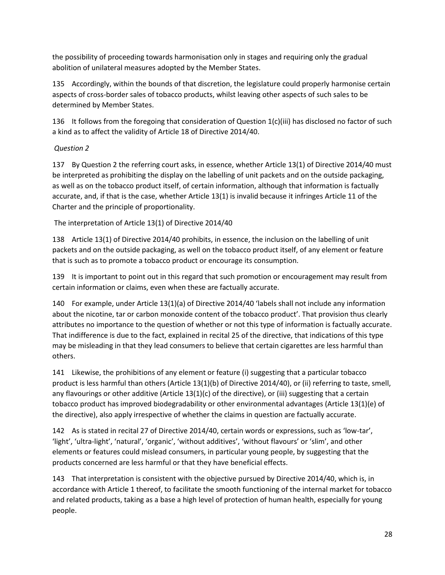the possibility of proceeding towards harmonisation only in stages and requiring only the gradual abolition of unilateral measures adopted by the Member States.

135 Accordingly, within the bounds of that discretion, the legislature could properly harmonise certain aspects of cross-border sales of tobacco products, whilst leaving other aspects of such sales to be determined by Member States.

136 It follows from the foregoing that consideration of Question  $1(c)$ (iii) has disclosed no factor of such a kind as to affect the validity of Article 18 of Directive 2014/40.

### *Question 2*

137 By Question 2 the referring court asks, in essence, whether Article 13(1) of Directive 2014/40 must be interpreted as prohibiting the display on the labelling of unit packets and on the outside packaging, as well as on the tobacco product itself, of certain information, although that information is factually accurate, and, if that is the case, whether Article 13(1) is invalid because it infringes Article 11 of the Charter and the principle of proportionality.

The interpretation of Article 13(1) of Directive 2014/40

138 Article 13(1) of Directive 2014/40 prohibits, in essence, the inclusion on the labelling of unit packets and on the outside packaging, as well on the tobacco product itself, of any element or feature that is such as to promote a tobacco product or encourage its consumption.

139 It is important to point out in this regard that such promotion or encouragement may result from certain information or claims, even when these are factually accurate.

140 For example, under Article 13(1)(a) of Directive 2014/40 'labels shall not include any information about the nicotine, tar or carbon monoxide content of the tobacco product'. That provision thus clearly attributes no importance to the question of whether or not this type of information is factually accurate. That indifference is due to the fact, explained in recital 25 of the directive, that indications of this type may be misleading in that they lead consumers to believe that certain cigarettes are less harmful than others.

141 Likewise, the prohibitions of any element or feature (i) suggesting that a particular tobacco product is less harmful than others (Article 13(1)(b) of Directive 2014/40), or (ii) referring to taste, smell, any flavourings or other additive (Article 13(1)(c) of the directive), or (iii) suggesting that a certain tobacco product has improved biodegradability or other environmental advantages (Article 13(1)(e) of the directive), also apply irrespective of whether the claims in question are factually accurate.

142 As is stated in recital 27 of Directive 2014/40, certain words or expressions, such as 'low-tar', 'light', 'ultra-light', 'natural', 'organic', 'without additives', 'without flavours' or 'slim', and other elements or features could mislead consumers, in particular young people, by suggesting that the products concerned are less harmful or that they have beneficial effects.

143 That interpretation is consistent with the objective pursued by Directive 2014/40, which is, in accordance with Article 1 thereof, to facilitate the smooth functioning of the internal market for tobacco and related products, taking as a base a high level of protection of human health, especially for young people.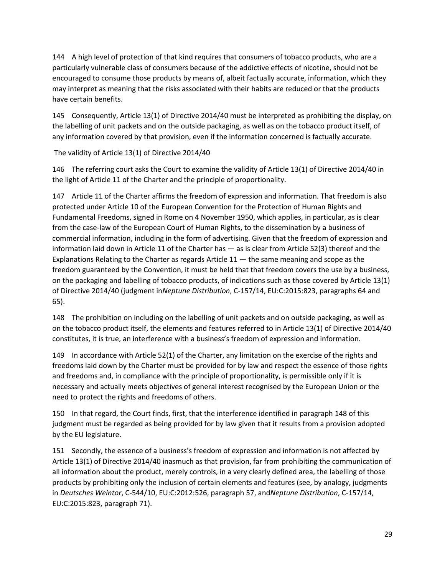144 A high level of protection of that kind requires that consumers of tobacco products, who are a particularly vulnerable class of consumers because of the addictive effects of nicotine, should not be encouraged to consume those products by means of, albeit factually accurate, information, which they may interpret as meaning that the risks associated with their habits are reduced or that the products have certain benefits.

145 Consequently, Article 13(1) of Directive 2014/40 must be interpreted as prohibiting the display, on the labelling of unit packets and on the outside packaging, as well as on the tobacco product itself, of any information covered by that provision, even if the information concerned is factually accurate.

The validity of Article 13(1) of Directive 2014/40

146 The referring court asks the Court to examine the validity of Article 13(1) of Directive 2014/40 in the light of Article 11 of the Charter and the principle of proportionality.

147 Article 11 of the Charter affirms the freedom of expression and information. That freedom is also protected under Article 10 of the European Convention for the Protection of Human Rights and Fundamental Freedoms, signed in Rome on 4 November 1950, which applies, in particular, as is clear from the case-law of the European Court of Human Rights, to the dissemination by a business of commercial information, including in the form of advertising. Given that the freedom of expression and information laid down in Article 11 of the Charter has — as is clear from Article 52(3) thereof and the Explanations Relating to the Charter as regards Article  $11$   $-$  the same meaning and scope as the freedom guaranteed by the Convention, it must be held that that freedom covers the use by a business, on the packaging and labelling of tobacco products, of indications such as those covered by Article 13(1) of Directive 2014/40 (judgment in*Neptune Distribution*, C-157/14, EU:C:2015:823, paragraphs 64 and 65).

148 The prohibition on including on the labelling of unit packets and on outside packaging, as well as on the tobacco product itself, the elements and features referred to in Article 13(1) of Directive 2014/40 constitutes, it is true, an interference with a business's freedom of expression and information.

149 In accordance with Article 52(1) of the Charter, any limitation on the exercise of the rights and freedoms laid down by the Charter must be provided for by law and respect the essence of those rights and freedoms and, in compliance with the principle of proportionality, is permissible only if it is necessary and actually meets objectives of general interest recognised by the European Union or the need to protect the rights and freedoms of others.

150 In that regard, the Court finds, first, that the interference identified in paragraph 148 of this judgment must be regarded as being provided for by law given that it results from a provision adopted by the EU legislature.

151 Secondly, the essence of a business's freedom of expression and information is not affected by Article 13(1) of Directive 2014/40 inasmuch as that provision, far from prohibiting the communication of all information about the product, merely controls, in a very clearly defined area, the labelling of those products by prohibiting only the inclusion of certain elements and features (see, by analogy, judgments in *Deutsches Weintor*, C-544/10, EU:C:2012:526, paragraph 57, and*Neptune Distribution*, C-157/14, EU:C:2015:823, paragraph 71).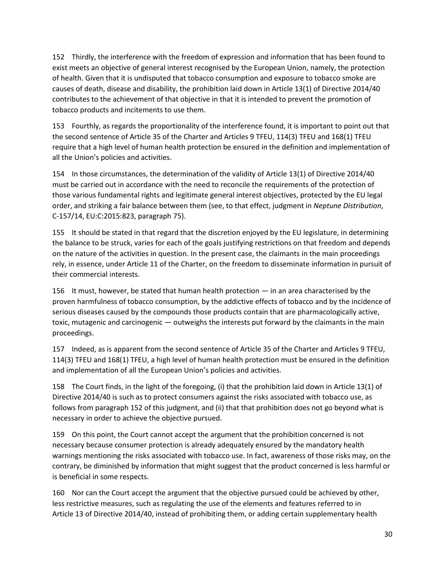152 Thirdly, the interference with the freedom of expression and information that has been found to exist meets an objective of general interest recognised by the European Union, namely, the protection of health. Given that it is undisputed that tobacco consumption and exposure to tobacco smoke are causes of death, disease and disability, the prohibition laid down in Article 13(1) of Directive 2014/40 contributes to the achievement of that objective in that it is intended to prevent the promotion of tobacco products and incitements to use them.

153 Fourthly, as regards the proportionality of the interference found, it is important to point out that the second sentence of Article 35 of the Charter and Articles 9 TFEU, 114(3) TFEU and 168(1) TFEU require that a high level of human health protection be ensured in the definition and implementation of all the Union's policies and activities.

154 In those circumstances, the determination of the validity of Article 13(1) of Directive 2014/40 must be carried out in accordance with the need to reconcile the requirements of the protection of those various fundamental rights and legitimate general interest objectives, protected by the EU legal order, and striking a fair balance between them (see, to that effect, judgment in *Neptune Distribution*, C-157/14, EU:C:2015:823, paragraph 75).

155 It should be stated in that regard that the discretion enjoyed by the EU legislature, in determining the balance to be struck, varies for each of the goals justifying restrictions on that freedom and depends on the nature of the activities in question. In the present case, the claimants in the main proceedings rely, in essence, under Article 11 of the Charter, on the freedom to disseminate information in pursuit of their commercial interests.

156 It must, however, be stated that human health protection — in an area characterised by the proven harmfulness of tobacco consumption, by the addictive effects of tobacco and by the incidence of serious diseases caused by the compounds those products contain that are pharmacologically active, toxic, mutagenic and carcinogenic — outweighs the interests put forward by the claimants in the main proceedings.

157 Indeed, as is apparent from the second sentence of Article 35 of the Charter and Articles 9 TFEU, 114(3) TFEU and 168(1) TFEU, a high level of human health protection must be ensured in the definition and implementation of all the European Union's policies and activities.

158 The Court finds, in the light of the foregoing, (i) that the prohibition laid down in Article 13(1) of Directive 2014/40 is such as to protect consumers against the risks associated with tobacco use, as follows from paragraph 152 of this judgment, and (ii) that that prohibition does not go beyond what is necessary in order to achieve the objective pursued.

159 On this point, the Court cannot accept the argument that the prohibition concerned is not necessary because consumer protection is already adequately ensured by the mandatory health warnings mentioning the risks associated with tobacco use. In fact, awareness of those risks may, on the contrary, be diminished by information that might suggest that the product concerned is less harmful or is beneficial in some respects.

160 Nor can the Court accept the argument that the objective pursued could be achieved by other, less restrictive measures, such as regulating the use of the elements and features referred to in Article 13 of Directive 2014/40, instead of prohibiting them, or adding certain supplementary health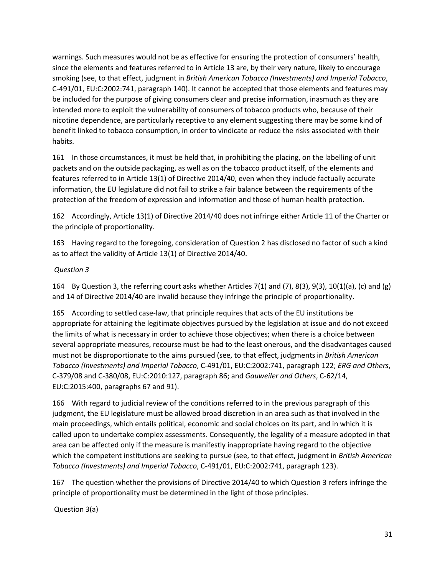warnings. Such measures would not be as effective for ensuring the protection of consumers' health, since the elements and features referred to in Article 13 are, by their very nature, likely to encourage smoking (see, to that effect, judgment in *British American Tobacco (Investments) and Imperial Tobacco*, C-491/01, EU:C:2002:741, paragraph 140). It cannot be accepted that those elements and features may be included for the purpose of giving consumers clear and precise information, inasmuch as they are intended more to exploit the vulnerability of consumers of tobacco products who, because of their nicotine dependence, are particularly receptive to any element suggesting there may be some kind of benefit linked to tobacco consumption, in order to vindicate or reduce the risks associated with their habits.

161 In those circumstances, it must be held that, in prohibiting the placing, on the labelling of unit packets and on the outside packaging, as well as on the tobacco product itself, of the elements and features referred to in Article 13(1) of Directive 2014/40, even when they include factually accurate information, the EU legislature did not fail to strike a fair balance between the requirements of the protection of the freedom of expression and information and those of human health protection.

162 Accordingly, Article 13(1) of Directive 2014/40 does not infringe either Article 11 of the Charter or the principle of proportionality.

163 Having regard to the foregoing, consideration of Question 2 has disclosed no factor of such a kind as to affect the validity of Article 13(1) of Directive 2014/40.

### *Question 3*

164 By Question 3, the referring court asks whether Articles 7(1) and (7), 8(3), 9(3), 10(1)(a), (c) and (g) and 14 of Directive 2014/40 are invalid because they infringe the principle of proportionality.

165 According to settled case-law, that principle requires that acts of the EU institutions be appropriate for attaining the legitimate objectives pursued by the legislation at issue and do not exceed the limits of what is necessary in order to achieve those objectives; when there is a choice between several appropriate measures, recourse must be had to the least onerous, and the disadvantages caused must not be disproportionate to the aims pursued (see, to that effect, judgments in *British American Tobacco (Investments) and Imperial Tobacco*, C-491/01, EU:C:2002:741, paragraph 122; *ERG and Others*, C-379/08 and C-380/08, EU:C:2010:127, paragraph 86; and *Gauweiler and Others*, C-62/14, EU:C:2015:400, paragraphs 67 and 91).

166 With regard to judicial review of the conditions referred to in the previous paragraph of this judgment, the EU legislature must be allowed broad discretion in an area such as that involved in the main proceedings, which entails political, economic and social choices on its part, and in which it is called upon to undertake complex assessments. Consequently, the legality of a measure adopted in that area can be affected only if the measure is manifestly inappropriate having regard to the objective which the competent institutions are seeking to pursue (see, to that effect, judgment in *British American Tobacco (Investments) and Imperial Tobacco*, C-491/01, EU:C:2002:741, paragraph 123).

167 The question whether the provisions of Directive 2014/40 to which Question 3 refers infringe the principle of proportionality must be determined in the light of those principles.

Question 3(a)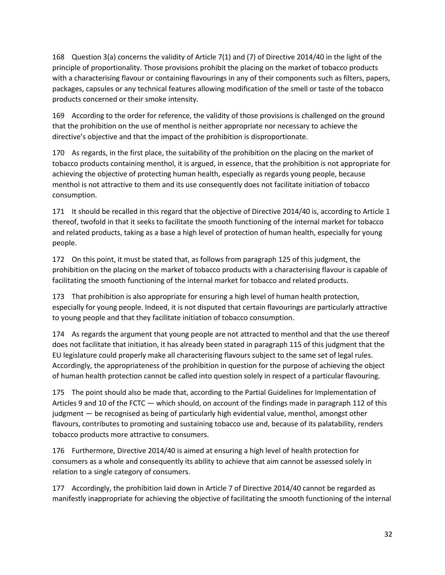168 Question 3(a) concerns the validity of Article 7(1) and (7) of Directive 2014/40 in the light of the principle of proportionality. Those provisions prohibit the placing on the market of tobacco products with a characterising flavour or containing flavourings in any of their components such as filters, papers, packages, capsules or any technical features allowing modification of the smell or taste of the tobacco products concerned or their smoke intensity.

169 According to the order for reference, the validity of those provisions is challenged on the ground that the prohibition on the use of menthol is neither appropriate nor necessary to achieve the directive's objective and that the impact of the prohibition is disproportionate.

170 As regards, in the first place, the suitability of the prohibition on the placing on the market of tobacco products containing menthol, it is argued, in essence, that the prohibition is not appropriate for achieving the objective of protecting human health, especially as regards young people, because menthol is not attractive to them and its use consequently does not facilitate initiation of tobacco consumption.

171 It should be recalled in this regard that the objective of Directive 2014/40 is, according to Article 1 thereof, twofold in that it seeks to facilitate the smooth functioning of the internal market for tobacco and related products, taking as a base a high level of protection of human health, especially for young people.

172 On this point, it must be stated that, as follows from paragraph 125 of this judgment, the prohibition on the placing on the market of tobacco products with a characterising flavour is capable of facilitating the smooth functioning of the internal market for tobacco and related products.

173 That prohibition is also appropriate for ensuring a high level of human health protection, especially for young people. Indeed, it is not disputed that certain flavourings are particularly attractive to young people and that they facilitate initiation of tobacco consumption.

174 As regards the argument that young people are not attracted to menthol and that the use thereof does not facilitate that initiation, it has already been stated in paragraph 115 of this judgment that the EU legislature could properly make all characterising flavours subject to the same set of legal rules. Accordingly, the appropriateness of the prohibition in question for the purpose of achieving the object of human health protection cannot be called into question solely in respect of a particular flavouring.

175 The point should also be made that, according to the Partial Guidelines for Implementation of Articles 9 and 10 of the FCTC — which should, on account of the findings made in paragraph 112 of this judgment — be recognised as being of particularly high evidential value, menthol, amongst other flavours, contributes to promoting and sustaining tobacco use and, because of its palatability, renders tobacco products more attractive to consumers.

176 Furthermore, Directive 2014/40 is aimed at ensuring a high level of health protection for consumers as a whole and consequently its ability to achieve that aim cannot be assessed solely in relation to a single category of consumers.

177 Accordingly, the prohibition laid down in Article 7 of Directive 2014/40 cannot be regarded as manifestly inappropriate for achieving the objective of facilitating the smooth functioning of the internal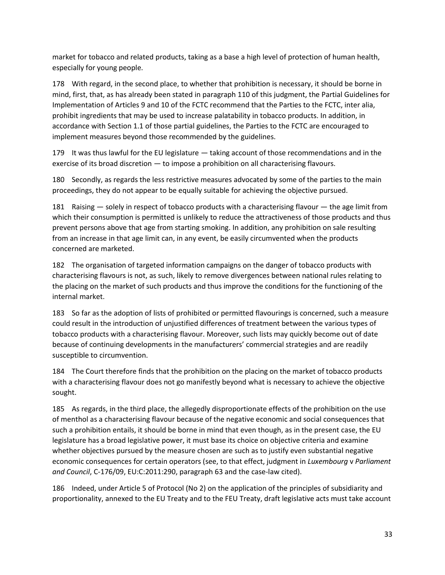market for tobacco and related products, taking as a base a high level of protection of human health, especially for young people.

178 With regard, in the second place, to whether that prohibition is necessary, it should be borne in mind, first, that, as has already been stated in paragraph 110 of this judgment, the Partial Guidelines for Implementation of Articles 9 and 10 of the FCTC recommend that the Parties to the FCTC, inter alia, prohibit ingredients that may be used to increase palatability in tobacco products. In addition, in accordance with Section 1.1 of those partial guidelines, the Parties to the FCTC are encouraged to implement measures beyond those recommended by the guidelines.

179 It was thus lawful for the EU legislature — taking account of those recommendations and in the exercise of its broad discretion — to impose a prohibition on all characterising flavours.

180 Secondly, as regards the less restrictive measures advocated by some of the parties to the main proceedings, they do not appear to be equally suitable for achieving the objective pursued.

181 Raising — solely in respect of tobacco products with a characterising flavour — the age limit from which their consumption is permitted is unlikely to reduce the attractiveness of those products and thus prevent persons above that age from starting smoking. In addition, any prohibition on sale resulting from an increase in that age limit can, in any event, be easily circumvented when the products concerned are marketed.

182 The organisation of targeted information campaigns on the danger of tobacco products with characterising flavours is not, as such, likely to remove divergences between national rules relating to the placing on the market of such products and thus improve the conditions for the functioning of the internal market.

183 So far as the adoption of lists of prohibited or permitted flavourings is concerned, such a measure could result in the introduction of unjustified differences of treatment between the various types of tobacco products with a characterising flavour. Moreover, such lists may quickly become out of date because of continuing developments in the manufacturers' commercial strategies and are readily susceptible to circumvention.

184 The Court therefore finds that the prohibition on the placing on the market of tobacco products with a characterising flavour does not go manifestly beyond what is necessary to achieve the objective sought.

185 As regards, in the third place, the allegedly disproportionate effects of the prohibition on the use of menthol as a characterising flavour because of the negative economic and social consequences that such a prohibition entails, it should be borne in mind that even though, as in the present case, the EU legislature has a broad legislative power, it must base its choice on objective criteria and examine whether objectives pursued by the measure chosen are such as to justify even substantial negative economic consequences for certain operators (see, to that effect, judgment in *Luxembourg* v *Parliament and Council*, C-176/09, EU:C:2011:290, paragraph 63 and the case-law cited).

186 Indeed, under Article 5 of Protocol (No 2) on the application of the principles of subsidiarity and proportionality, annexed to the EU Treaty and to the FEU Treaty, draft legislative acts must take account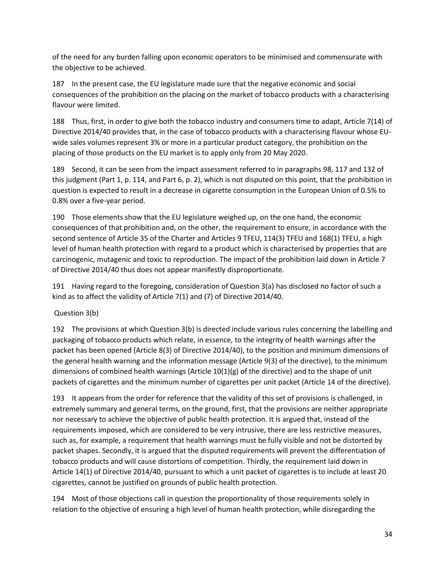of the need for any burden falling upon economic operators to be minimised and commensurate with the objective to be achieved.

187 In the present case, the EU legislature made sure that the negative economic and social consequences of the prohibition on the placing on the market of tobacco products with a characterising flavour were limited.

188 Thus, first, in order to give both the tobacco industry and consumers time to adapt, Article 7(14) of Directive 2014/40 provides that, in the case of tobacco products with a characterising flavour whose EUwide sales volumes represent 3% or more in a particular product category, the prohibition on the placing of those products on the EU market is to apply only from 20 May 2020.

189 Second, it can be seen from the impact assessment referred to in paragraphs 98, 117 and 132 of this judgment (Part 1, p. 114, and Part 6, p. 2), which is not disputed on this point, that the prohibition in question is expected to result in a decrease in cigarette consumption in the European Union of 0.5% to 0.8% over a five-year period.

190 Those elements show that the EU legislature weighed up, on the one hand, the economic consequences of that prohibition and, on the other, the requirement to ensure, in accordance with the second sentence of Article 35 of the Charter and Articles 9 TFEU, 114(3) TFEU and 168(1) TFEU, a high level of human health protection with regard to a product which is characterised by properties that are carcinogenic, mutagenic and toxic to reproduction. The impact of the prohibition laid down in Article 7 of Directive 2014/40 thus does not appear manifestly disproportionate.

191 Having regard to the foregoing, consideration of Question 3(a) has disclosed no factor of such a kind as to affect the validity of Article 7(1) and (7) of Directive 2014/40.

# Question 3(b)

192 The provisions at which Question 3(b) is directed include various rules concerning the labelling and packaging of tobacco products which relate, in essence, to the integrity of health warnings after the packet has been opened (Article 8(3) of Directive 2014/40), to the position and minimum dimensions of the general health warning and the information message (Article 9(3) of the directive), to the minimum dimensions of combined health warnings (Article 10(1)(g) of the directive) and to the shape of unit packets of cigarettes and the minimum number of cigarettes per unit packet (Article 14 of the directive).

193 It appears from the order for reference that the validity of this set of provisions is challenged, in extremely summary and general terms, on the ground, first, that the provisions are neither appropriate nor necessary to achieve the objective of public health protection. It is argued that, instead of the requirements imposed, which are considered to be very intrusive, there are less restrictive measures, such as, for example, a requirement that health warnings must be fully visible and not be distorted by packet shapes. Secondly, it is argued that the disputed requirements will prevent the differentiation of tobacco products and will cause distortions of competition. Thirdly, the requirement laid down in Article 14(1) of Directive 2014/40, pursuant to which a unit packet of cigarettes is to include at least 20 cigarettes, cannot be justified on grounds of public health protection.

194 Most of those objections call in question the proportionality of those requirements solely in relation to the objective of ensuring a high level of human health protection, while disregarding the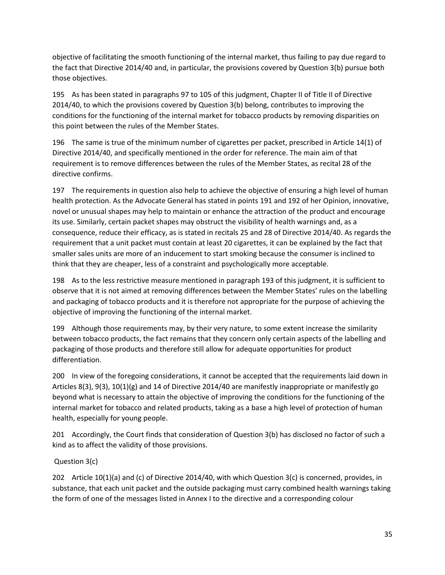objective of facilitating the smooth functioning of the internal market, thus failing to pay due regard to the fact that Directive 2014/40 and, in particular, the provisions covered by Question 3(b) pursue both those objectives.

195 As has been stated in paragraphs 97 to 105 of this judgment, Chapter II of Title II of Directive 2014/40, to which the provisions covered by Question 3(b) belong, contributes to improving the conditions for the functioning of the internal market for tobacco products by removing disparities on this point between the rules of the Member States.

196 The same is true of the minimum number of cigarettes per packet, prescribed in Article 14(1) of Directive 2014/40, and specifically mentioned in the order for reference. The main aim of that requirement is to remove differences between the rules of the Member States, as recital 28 of the directive confirms.

197 The requirements in question also help to achieve the objective of ensuring a high level of human health protection. As the Advocate General has stated in points 191 and 192 of her Opinion, innovative, novel or unusual shapes may help to maintain or enhance the attraction of the product and encourage its use. Similarly, certain packet shapes may obstruct the visibility of health warnings and, as a consequence, reduce their efficacy, as is stated in recitals 25 and 28 of Directive 2014/40. As regards the requirement that a unit packet must contain at least 20 cigarettes, it can be explained by the fact that smaller sales units are more of an inducement to start smoking because the consumer is inclined to think that they are cheaper, less of a constraint and psychologically more acceptable.

198 As to the less restrictive measure mentioned in paragraph 193 of this judgment, it is sufficient to observe that it is not aimed at removing differences between the Member States' rules on the labelling and packaging of tobacco products and it is therefore not appropriate for the purpose of achieving the objective of improving the functioning of the internal market.

199 Although those requirements may, by their very nature, to some extent increase the similarity between tobacco products, the fact remains that they concern only certain aspects of the labelling and packaging of those products and therefore still allow for adequate opportunities for product differentiation.

200 In view of the foregoing considerations, it cannot be accepted that the requirements laid down in Articles 8(3), 9(3), 10(1)(g) and 14 of Directive 2014/40 are manifestly inappropriate or manifestly go beyond what is necessary to attain the objective of improving the conditions for the functioning of the internal market for tobacco and related products, taking as a base a high level of protection of human health, especially for young people.

201 Accordingly, the Court finds that consideration of Question 3(b) has disclosed no factor of such a kind as to affect the validity of those provisions.

# Question 3(c)

202 Article 10(1)(a) and (c) of Directive 2014/40, with which Question 3(c) is concerned, provides, in substance, that each unit packet and the outside packaging must carry combined health warnings taking the form of one of the messages listed in Annex I to the directive and a corresponding colour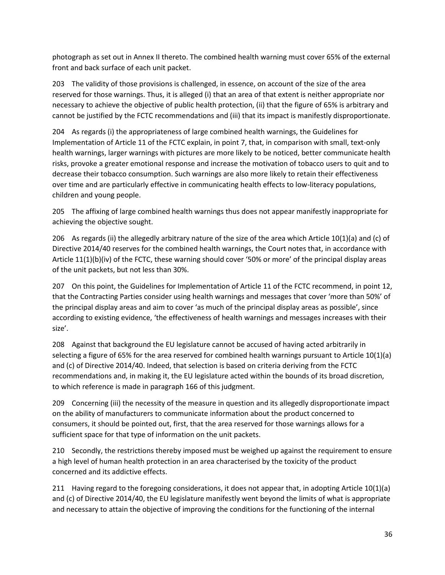photograph as set out in Annex II thereto. The combined health warning must cover 65% of the external front and back surface of each unit packet.

203 The validity of those provisions is challenged, in essence, on account of the size of the area reserved for those warnings. Thus, it is alleged (i) that an area of that extent is neither appropriate nor necessary to achieve the objective of public health protection, (ii) that the figure of 65% is arbitrary and cannot be justified by the FCTC recommendations and (iii) that its impact is manifestly disproportionate.

204 As regards (i) the appropriateness of large combined health warnings, the Guidelines for Implementation of Article 11 of the FCTC explain, in point 7, that, in comparison with small, text-only health warnings, larger warnings with pictures are more likely to be noticed, better communicate health risks, provoke a greater emotional response and increase the motivation of tobacco users to quit and to decrease their tobacco consumption. Such warnings are also more likely to retain their effectiveness over time and are particularly effective in communicating health effects to low-literacy populations, children and young people.

205 The affixing of large combined health warnings thus does not appear manifestly inappropriate for achieving the objective sought.

206 As regards (ii) the allegedly arbitrary nature of the size of the area which Article 10(1)(a) and (c) of Directive 2014/40 reserves for the combined health warnings, the Court notes that, in accordance with Article 11(1)(b)(iv) of the FCTC, these warning should cover '50% or more' of the principal display areas of the unit packets, but not less than 30%.

207 On this point, the Guidelines for Implementation of Article 11 of the FCTC recommend, in point 12, that the Contracting Parties consider using health warnings and messages that cover 'more than 50%' of the principal display areas and aim to cover 'as much of the principal display areas as possible', since according to existing evidence, 'the effectiveness of health warnings and messages increases with their size'.

208 Against that background the EU legislature cannot be accused of having acted arbitrarily in selecting a figure of 65% for the area reserved for combined health warnings pursuant to Article 10(1)(a) and (c) of Directive 2014/40. Indeed, that selection is based on criteria deriving from the FCTC recommendations and, in making it, the EU legislature acted within the bounds of its broad discretion, to which reference is made in paragraph 166 of this judgment.

209 Concerning (iii) the necessity of the measure in question and its allegedly disproportionate impact on the ability of manufacturers to communicate information about the product concerned to consumers, it should be pointed out, first, that the area reserved for those warnings allows for a sufficient space for that type of information on the unit packets.

210 Secondly, the restrictions thereby imposed must be weighed up against the requirement to ensure a high level of human health protection in an area characterised by the toxicity of the product concerned and its addictive effects.

211 Having regard to the foregoing considerations, it does not appear that, in adopting Article 10(1)(a) and (c) of Directive 2014/40, the EU legislature manifestly went beyond the limits of what is appropriate and necessary to attain the objective of improving the conditions for the functioning of the internal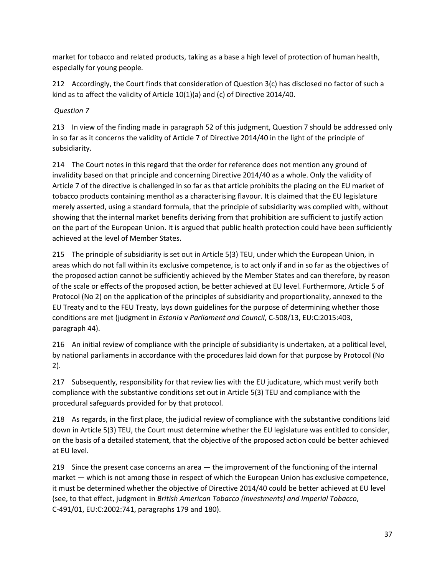market for tobacco and related products, taking as a base a high level of protection of human health, especially for young people.

212 Accordingly, the Court finds that consideration of Question 3(c) has disclosed no factor of such a kind as to affect the validity of Article 10(1)(a) and (c) of Directive 2014/40.

# *Question 7*

213 In view of the finding made in paragraph 52 of this judgment, Question 7 should be addressed only in so far as it concerns the validity of Article 7 of Directive 2014/40 in the light of the principle of subsidiarity.

214 The Court notes in this regard that the order for reference does not mention any ground of invalidity based on that principle and concerning Directive 2014/40 as a whole. Only the validity of Article 7 of the directive is challenged in so far as that article prohibits the placing on the EU market of tobacco products containing menthol as a characterising flavour. It is claimed that the EU legislature merely asserted, using a standard formula, that the principle of subsidiarity was complied with, without showing that the internal market benefits deriving from that prohibition are sufficient to justify action on the part of the European Union. It is argued that public health protection could have been sufficiently achieved at the level of Member States.

215 The principle of subsidiarity is set out in Article 5(3) TEU, under which the European Union, in areas which do not fall within its exclusive competence, is to act only if and in so far as the objectives of the proposed action cannot be sufficiently achieved by the Member States and can therefore, by reason of the scale or effects of the proposed action, be better achieved at EU level. Furthermore, Article 5 of Protocol (No 2) on the application of the principles of subsidiarity and proportionality, annexed to the EU Treaty and to the FEU Treaty, lays down guidelines for the purpose of determining whether those conditions are met (judgment in *Estonia* v *Parliament and Council*, C-508/13, EU:C:2015:403, paragraph 44).

216 An initial review of compliance with the principle of subsidiarity is undertaken, at a political level, by national parliaments in accordance with the procedures laid down for that purpose by Protocol (No 2).

217 Subsequently, responsibility for that review lies with the EU judicature, which must verify both compliance with the substantive conditions set out in Article 5(3) TEU and compliance with the procedural safeguards provided for by that protocol.

218 As regards, in the first place, the judicial review of compliance with the substantive conditions laid down in Article 5(3) TEU, the Court must determine whether the EU legislature was entitled to consider, on the basis of a detailed statement, that the objective of the proposed action could be better achieved at EU level.

219 Since the present case concerns an area — the improvement of the functioning of the internal market — which is not among those in respect of which the European Union has exclusive competence, it must be determined whether the objective of Directive 2014/40 could be better achieved at EU level (see, to that effect, judgment in *British American Tobacco (Investments) and Imperial Tobacco*, C-491/01, EU:C:2002:741, paragraphs 179 and 180).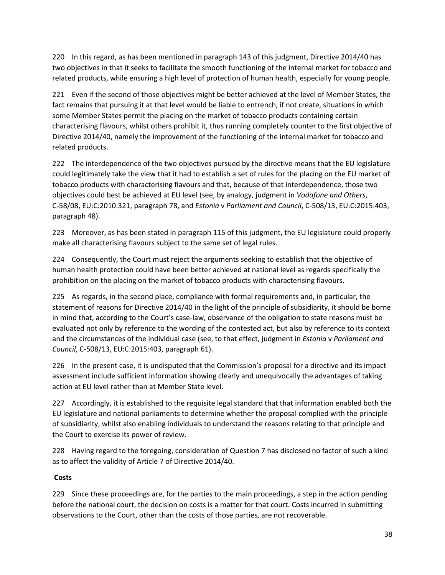220 In this regard, as has been mentioned in paragraph 143 of this judgment, Directive 2014/40 has two objectives in that it seeks to facilitate the smooth functioning of the internal market for tobacco and related products, while ensuring a high level of protection of human health, especially for young people.

221 Even if the second of those objectives might be better achieved at the level of Member States, the fact remains that pursuing it at that level would be liable to entrench, if not create, situations in which some Member States permit the placing on the market of tobacco products containing certain characterising flavours, whilst others prohibit it, thus running completely counter to the first objective of Directive 2014/40, namely the improvement of the functioning of the internal market for tobacco and related products.

222 The interdependence of the two objectives pursued by the directive means that the EU legislature could legitimately take the view that it had to establish a set of rules for the placing on the EU market of tobacco products with characterising flavours and that, because of that interdependence, those two objectives could best be achieved at EU level (see, by analogy, judgment in *Vodafone and Others*, C-58/08, EU:C:2010:321, paragraph 78, and *Estonia* v *Parliament and Council*, C-508/13, EU:C:2015:403, paragraph 48).

223 Moreover, as has been stated in paragraph 115 of this judgment, the EU legislature could properly make all characterising flavours subject to the same set of legal rules.

224 Consequently, the Court must reject the arguments seeking to establish that the objective of human health protection could have been better achieved at national level as regards specifically the prohibition on the placing on the market of tobacco products with characterising flavours.

225 As regards, in the second place, compliance with formal requirements and, in particular, the statement of reasons for Directive 2014/40 in the light of the principle of subsidiarity, it should be borne in mind that, according to the Court's case-law, observance of the obligation to state reasons must be evaluated not only by reference to the wording of the contested act, but also by reference to its context and the circumstances of the individual case (see, to that effect, judgment in *Estonia* v *Parliament and Council*, C-508/13, EU:C:2015:403, paragraph 61).

226 In the present case, it is undisputed that the Commission's proposal for a directive and its impact assessment include sufficient information showing clearly and unequivocally the advantages of taking action at EU level rather than at Member State level.

227 Accordingly, it is established to the requisite legal standard that that information enabled both the EU legislature and national parliaments to determine whether the proposal complied with the principle of subsidiarity, whilst also enabling individuals to understand the reasons relating to that principle and the Court to exercise its power of review.

228 Having regard to the foregoing, consideration of Question 7 has disclosed no factor of such a kind as to affect the validity of Article 7 of Directive 2014/40.

# **Costs**

229 Since these proceedings are, for the parties to the main proceedings, a step in the action pending before the national court, the decision on costs is a matter for that court. Costs incurred in submitting observations to the Court, other than the costs of those parties, are not recoverable.